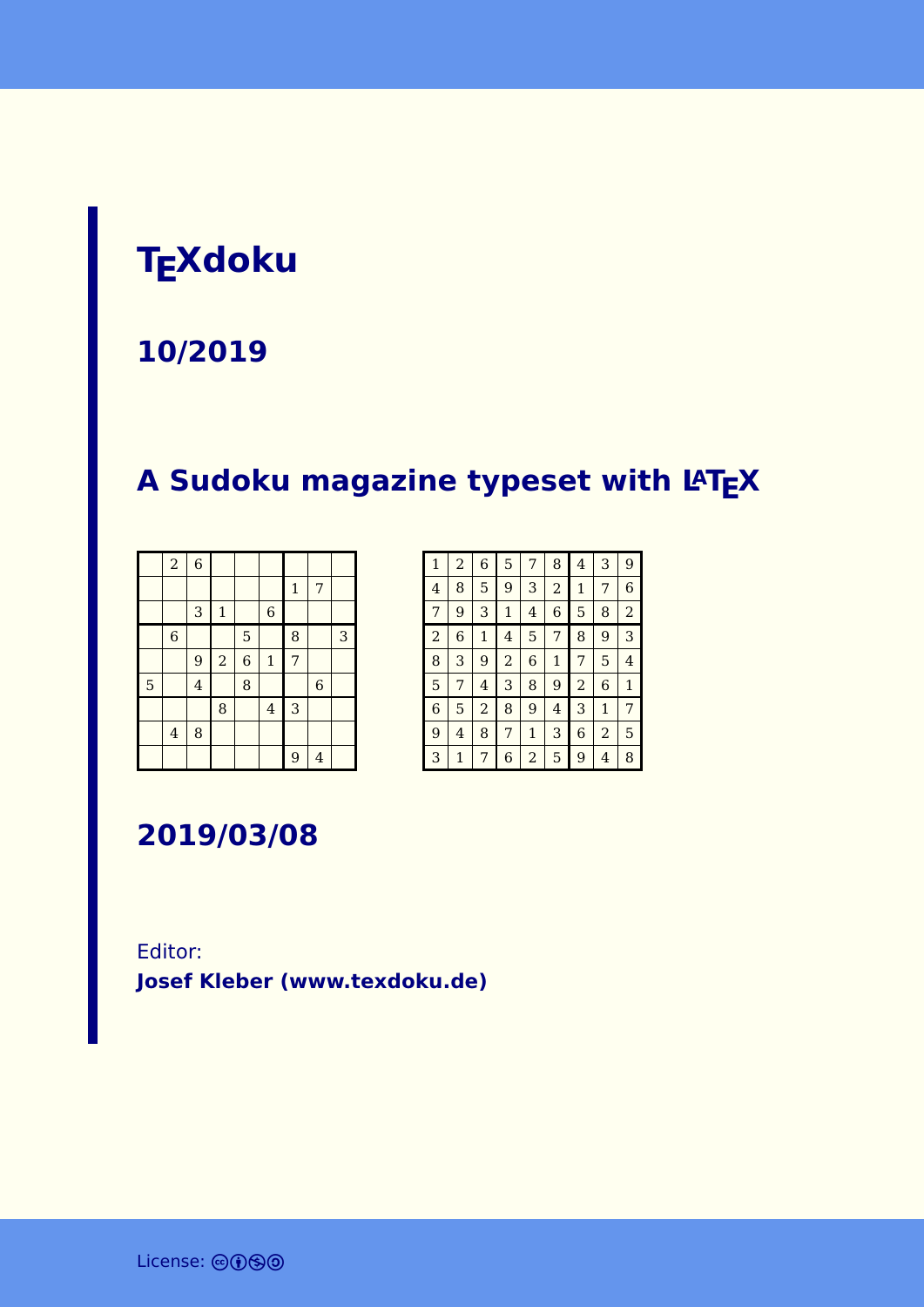# **TEXdoku**

#### **10/2019**

# **A Sudoku magazine typeset with LATEX**

|   | $\overline{a}$          | $\overline{6}$ |              |                |                |              |                |   |
|---|-------------------------|----------------|--------------|----------------|----------------|--------------|----------------|---|
|   |                         |                |              |                |                | $\mathbf{1}$ | 7              |   |
|   |                         | 3              | $\mathbf{1}$ |                | $\,$ 6 $\,$    |              |                |   |
|   | $\,$ 6 $\,$             |                |              | 5              |                | 8            |                | 3 |
|   |                         | 9              | $\sqrt{2}$   | $\overline{6}$ | $\mathbf 1$    | 7            |                |   |
| 5 |                         | $\overline{4}$ |              | 8              |                |              | $\overline{6}$ |   |
|   |                         |                | 8            |                | $\overline{4}$ | 3            |                |   |
|   | $\overline{\mathbf{4}}$ | 8              |              |                |                |              |                |   |
|   |                         |                |              |                |                | 9            | $\overline{4}$ |   |

| $\mathbf{1}$   | $\overline{a}$ | 6            | 5              | 7 | 8              | 4              | 3              | 9              |
|----------------|----------------|--------------|----------------|---|----------------|----------------|----------------|----------------|
| 4              | 8              | 5            | 9              | 3 | $\overline{2}$ | 1              | 7              | 6              |
| 7              | 9              | 3            | $\mathbf{1}$   | 4 | 6              | 5              | 8              | $\overline{2}$ |
| $\overline{a}$ | 6              | $\mathbf{1}$ | 4              | 5 | 7              | 8              | 9              | 3              |
| 8              | 3              | 9            | $\overline{2}$ | 6 | $\mathbf{1}$   | 7              | 5              | 4              |
| 5              | 7              | 4            | 3              | 8 | 9              | $\overline{a}$ | 6              | $\mathbf{1}$   |
| 6              | 5              | 2            | 8              | 9 | 4              | 3              | $\mathbf{1}$   | 7              |
| 9              | 4              | 8            | 7              | 1 | 3              | 6              | $\overline{2}$ | 5              |
| 3              | 1              | 7            | 6              | 2 | 5              | 9              | 4              | 8              |

**2019/03/08**

Editor: **[Josef Kleber \(www.texdoku.de\)](mailto:texdoku@texdoku.de)**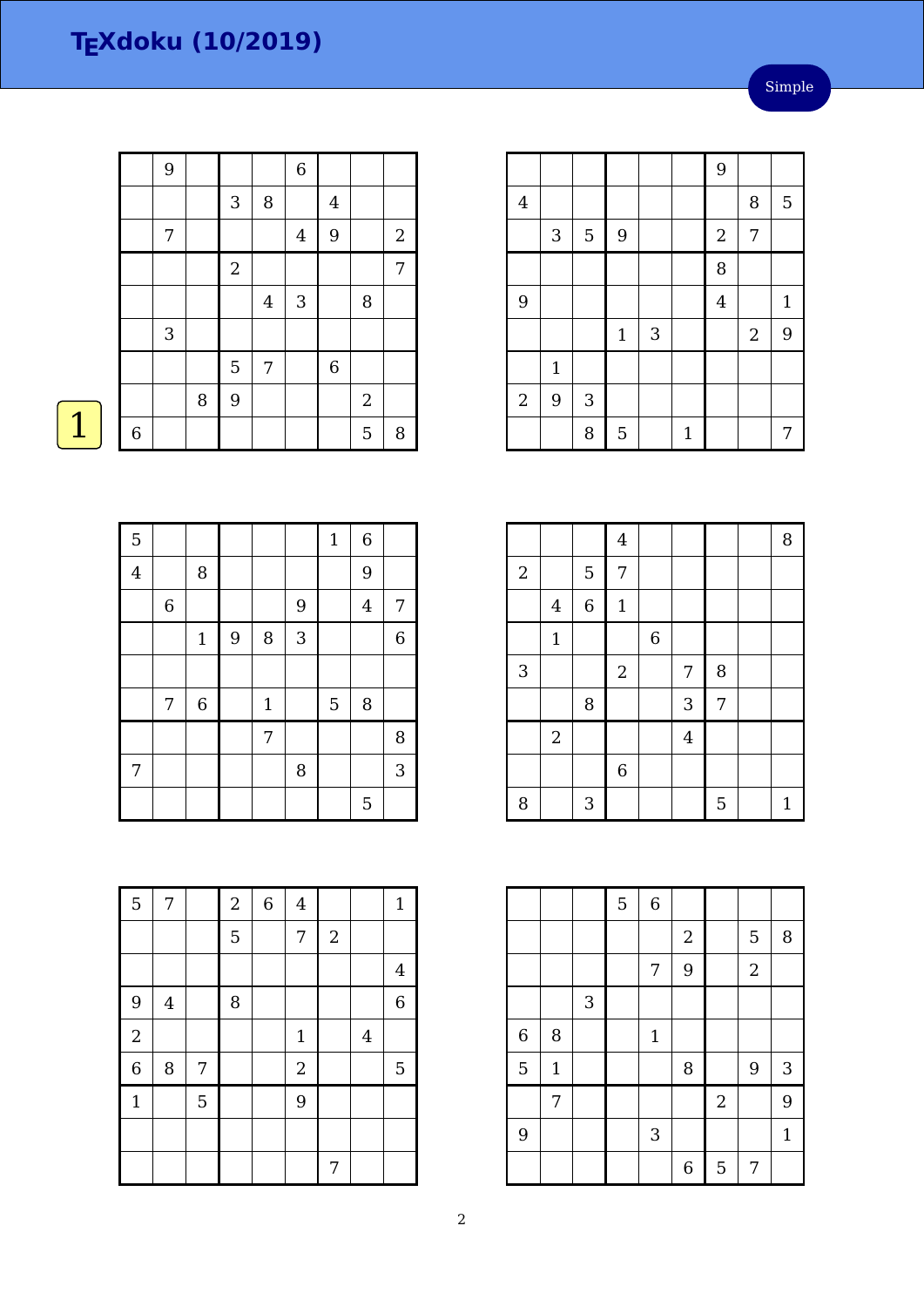| $\sqrt{3}$<br>$\, 8$<br>$\overline{4}$<br>$\boldsymbol{9}$<br>$\boldsymbol{2}$<br>$\overline{4}$<br>7<br>$\sqrt{2}$<br>7<br>$\mathbf{3}$<br>8<br>$\overline{4}$<br>$\sqrt{3}$<br>5<br>$\,$ 6 $\,$<br>7<br>9<br>8<br>$\sqrt{2}$ |             |                  |  |                |   |        |
|--------------------------------------------------------------------------------------------------------------------------------------------------------------------------------------------------------------------------------|-------------|------------------|--|----------------|---|--------|
|                                                                                                                                                                                                                                |             | $\boldsymbol{9}$ |  | $\overline{6}$ |   |        |
|                                                                                                                                                                                                                                |             |                  |  |                |   |        |
|                                                                                                                                                                                                                                |             |                  |  |                |   |        |
|                                                                                                                                                                                                                                |             |                  |  |                |   |        |
|                                                                                                                                                                                                                                |             |                  |  |                |   |        |
|                                                                                                                                                                                                                                |             |                  |  |                |   |        |
|                                                                                                                                                                                                                                |             |                  |  |                |   |        |
|                                                                                                                                                                                                                                |             |                  |  |                |   |        |
|                                                                                                                                                                                                                                | $\,$ 6 $\,$ |                  |  |                | 5 | $\, 8$ |

|                |       |   |                |   |              | 9                |                  |                |
|----------------|-------|---|----------------|---|--------------|------------------|------------------|----------------|
| $\overline{4}$ |       |   |                |   |              |                  | 8                | $\overline{5}$ |
|                | 3     | 5 | 9              |   |              | $\boldsymbol{2}$ | 7                |                |
|                |       |   |                |   |              | 8                |                  |                |
| 9              |       |   |                |   |              | $\overline{4}$   |                  | $\mathbf{1}$   |
|                |       |   | $1\,$          | 3 |              |                  | $\boldsymbol{2}$ | 9              |
|                | $1\,$ |   |                |   |              |                  |                  |                |
| $\overline{2}$ | 9     | 3 |                |   |              |                  |                  |                |
|                |       | 8 | $\overline{5}$ |   | $\mathbf{1}$ |                  |                  | 7              |

|                |                  |                | $\bf 4$        |             |                |   | 8            |
|----------------|------------------|----------------|----------------|-------------|----------------|---|--------------|
| $\overline{2}$ |                  | $\overline{5}$ | 7              |             |                |   |              |
|                | $\boldsymbol{4}$ | $\overline{6}$ | $\mathbf{1}$   |             |                |   |              |
|                | $\mathbf 1$      |                |                | $\,$ 6 $\,$ |                |   |              |
| 3              |                  |                | $\sqrt{2}$     |             | 7              | 8 |              |
|                |                  | 8              |                |             | 3              | 7 |              |
|                | $\overline{2}$   |                |                |             | $\overline{4}$ |   |              |
|                |                  |                | $\overline{6}$ |             |                |   |              |
| 8              |                  | 3              |                |             |                | 5 | $\mathbf{1}$ |

|   |              |   | 5 | $\,$ 6 $\,$               |                  |            |                  |              |
|---|--------------|---|---|---------------------------|------------------|------------|------------------|--------------|
|   |              |   |   |                           | $\boldsymbol{2}$ |            | 5                | 8            |
|   |              |   |   | 7                         | 9                |            | $\sqrt{2}$       |              |
|   |              | 3 |   |                           |                  |            |                  |              |
| 6 | 8            |   |   | $\mathbf{1}$              |                  |            |                  |              |
| 5 | $\mathbf{1}$ |   |   |                           | 8                |            | $\boldsymbol{9}$ | 3            |
|   | 7            |   |   |                           |                  | $\sqrt{2}$ |                  | 9            |
| 9 |              |   |   | $\ensuremath{\mathsf{3}}$ |                  |            |                  | $\mathbf{1}$ |
|   |              |   |   |                           | 6                | 5          | 7                |              |

| 5              |         |                |   |             |   | $\mathbf 1$ | $\,6\,$        |                |
|----------------|---------|----------------|---|-------------|---|-------------|----------------|----------------|
| $\overline{4}$ |         | 8              |   |             |   |             | 9              |                |
|                | $\,6\,$ |                |   |             | 9 |             | $\overline{4}$ | 7              |
|                |         | $\mathbf 1$    | 9 | 8           | 3 |             |                | $\overline{6}$ |
|                |         |                |   |             |   |             |                |                |
|                | 7       | $\overline{6}$ |   | $\mathbf 1$ |   | 5           | 8              |                |
|                |         |                |   | 7           |   |             |                | 8              |
| 7              |         |                |   |             | 8 |             |                | $\sqrt{3}$     |
|                |         |                |   |             |   |             | 5              |                |

| $\overline{5}$ | $\boldsymbol{7}$ |             | $\sqrt{2}$ | $\,$ 6 $\,$ | $\overline{4}$ |            |                | $\mathbf 1$    |
|----------------|------------------|-------------|------------|-------------|----------------|------------|----------------|----------------|
|                |                  |             | 5          |             | 7              | $\sqrt{2}$ |                |                |
|                |                  |             |            |             |                |            |                | $\overline{4}$ |
| 9              | $\overline{4}$   |             | 8          |             |                |            |                | $\overline{6}$ |
| $\overline{2}$ |                  |             |            |             | $\mathbf 1$    |            | $\overline{4}$ |                |
| $\overline{6}$ | $\, 8$           | 7           |            |             | $\sqrt{2}$     |            |                | 5              |
| $\mathbf{1}$   |                  | $\mathbf 5$ |            |             | 9              |            |                |                |
|                |                  |             |            |             |                |            |                |                |
|                |                  |             |            |             |                | 7          |                |                |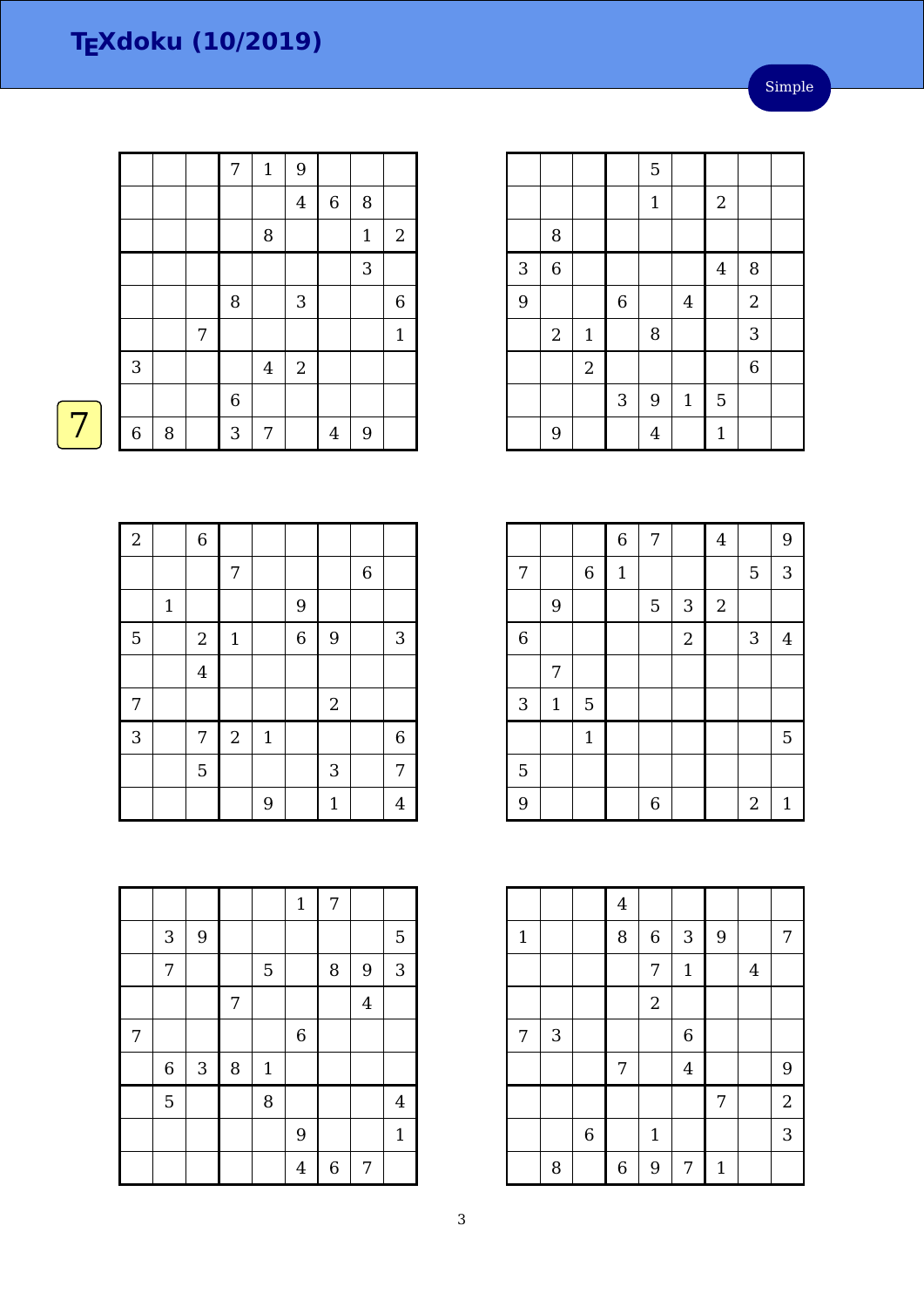Simple

|   |                |   | 7 |  |
|---|----------------|---|---|--|
|   | 3              |   |   |  |
|   |                |   |   |  |
| ┍ | $\overline{6}$ | 8 |   |  |
|   |                |   |   |  |

 $2 \mid$  6

|             |   |   | 7                | $\mathbf 1$    | 9                |                |             |                  |
|-------------|---|---|------------------|----------------|------------------|----------------|-------------|------------------|
|             |   |   |                  |                | $\overline{4}$   | $\,$ 6 $\,$    | 8           |                  |
|             |   |   |                  | 8              |                  |                | $\mathbf 1$ | $\boldsymbol{2}$ |
|             |   |   |                  |                |                  |                | 3           |                  |
|             |   |   | 8                |                | 3                |                |             | 6                |
|             |   | 7 |                  |                |                  |                |             | $\mathbf{1}$     |
| 3           |   |   |                  | $\overline{4}$ | $\boldsymbol{2}$ |                |             |                  |
|             |   |   | $\boldsymbol{6}$ |                |                  |                |             |                  |
| $\,$ 6 $\,$ | 8 |   | 3                | 7              |                  | $\overline{4}$ | 9           |                  |

7 | | | | 6

5 | | | | | 3 | | | 7

| 1 | 4

| | 9

7 | | | | | | 2

| 2 | 1 | 6 | 9 | 3

3 7 7 2 1 1 6

|   |              |                |             | $\mathbf 5$    |                |                  |                |  |
|---|--------------|----------------|-------------|----------------|----------------|------------------|----------------|--|
|   |              |                |             | $1\,$          |                | $\boldsymbol{2}$ |                |  |
|   | 8            |                |             |                |                |                  |                |  |
| 3 | $\,$ 6 $\,$  |                |             |                |                | $\boldsymbol{4}$ | 8              |  |
| 9 |              |                | $\,$ 6 $\,$ |                | $\overline{4}$ |                  | $\sqrt{2}$     |  |
|   | $\mathbf{2}$ | $\mathbf 1$    |             | $\, 8$         |                |                  | 3              |  |
|   |              | $\overline{2}$ |             |                |                |                  | $\overline{6}$ |  |
|   |              |                | 3           | $9\,$          | $1\,$          | $\overline{5}$   |                |  |
|   | 9            |                |             | $\overline{4}$ |                | $\mathbf{1}$     |                |  |

|                |             |                  | $\overline{6}$ | 7                |                           | $\boldsymbol{4}$ |                  | 9              |
|----------------|-------------|------------------|----------------|------------------|---------------------------|------------------|------------------|----------------|
| 7              |             | $\boldsymbol{6}$ | $\mathbf 1$    |                  |                           |                  | 5                | 3              |
|                | 9           |                  |                | 5                | $\ensuremath{\mathsf{3}}$ | $\boldsymbol{2}$ |                  |                |
| $\overline{6}$ |             |                  |                |                  | $\boldsymbol{2}$          |                  | 3                | $\overline{4}$ |
|                | 7           |                  |                |                  |                           |                  |                  |                |
| 3              | $\mathbf 1$ | 5                |                |                  |                           |                  |                  |                |
|                |             | $\mathbf{1}$     |                |                  |                           |                  |                  | $\overline{5}$ |
| 5              |             |                  |                |                  |                           |                  |                  |                |
| 9              |             |                  |                | $\boldsymbol{6}$ |                           |                  | $\boldsymbol{2}$ | $\mathbf{1}$   |

|   |                  |   |   |       | $\mathbf{1}$   | 7                |                |                |
|---|------------------|---|---|-------|----------------|------------------|----------------|----------------|
|   | 3                | 9 |   |       |                |                  |                | 5              |
|   | 7                |   |   | 5     |                | 8                | 9              | 3              |
|   |                  |   | 7 |       |                |                  | $\overline{4}$ |                |
| 7 |                  |   |   |       | $\,$ 6 $\,$    |                  |                |                |
|   | $\boldsymbol{6}$ | 3 | 8 | $1\,$ |                |                  |                |                |
|   | 5                |   |   | 8     |                |                  |                | $\overline{4}$ |
|   |                  |   |   |       | 9              |                  |                | $\mathbf{1}$   |
|   |                  |   |   |       | $\overline{4}$ | $\boldsymbol{6}$ | 7              |                |

|             |   |             | $\bf 4$     |                  |                |                |         |                |
|-------------|---|-------------|-------------|------------------|----------------|----------------|---------|----------------|
| $\mathbf 1$ |   |             | 8           | $\boldsymbol{6}$ | 3              | $\overline{9}$ |         | 7              |
|             |   |             |             | 7                | $\mathbf{1}$   |                | $\bf 4$ |                |
|             |   |             |             | $\overline{2}$   |                |                |         |                |
| 7           | 3 |             |             |                  | $\overline{6}$ |                |         |                |
|             |   |             | 7           |                  | $\overline{4}$ |                |         | 9              |
|             |   |             |             |                  |                | 7              |         | $\overline{2}$ |
|             |   | $\,$ 6 $\,$ |             | $\mathbf{1}$     |                |                |         | 3              |
|             | 8 |             | $\,$ 6 $\,$ | 9                | 7              | $\mathbf 1$    |         |                |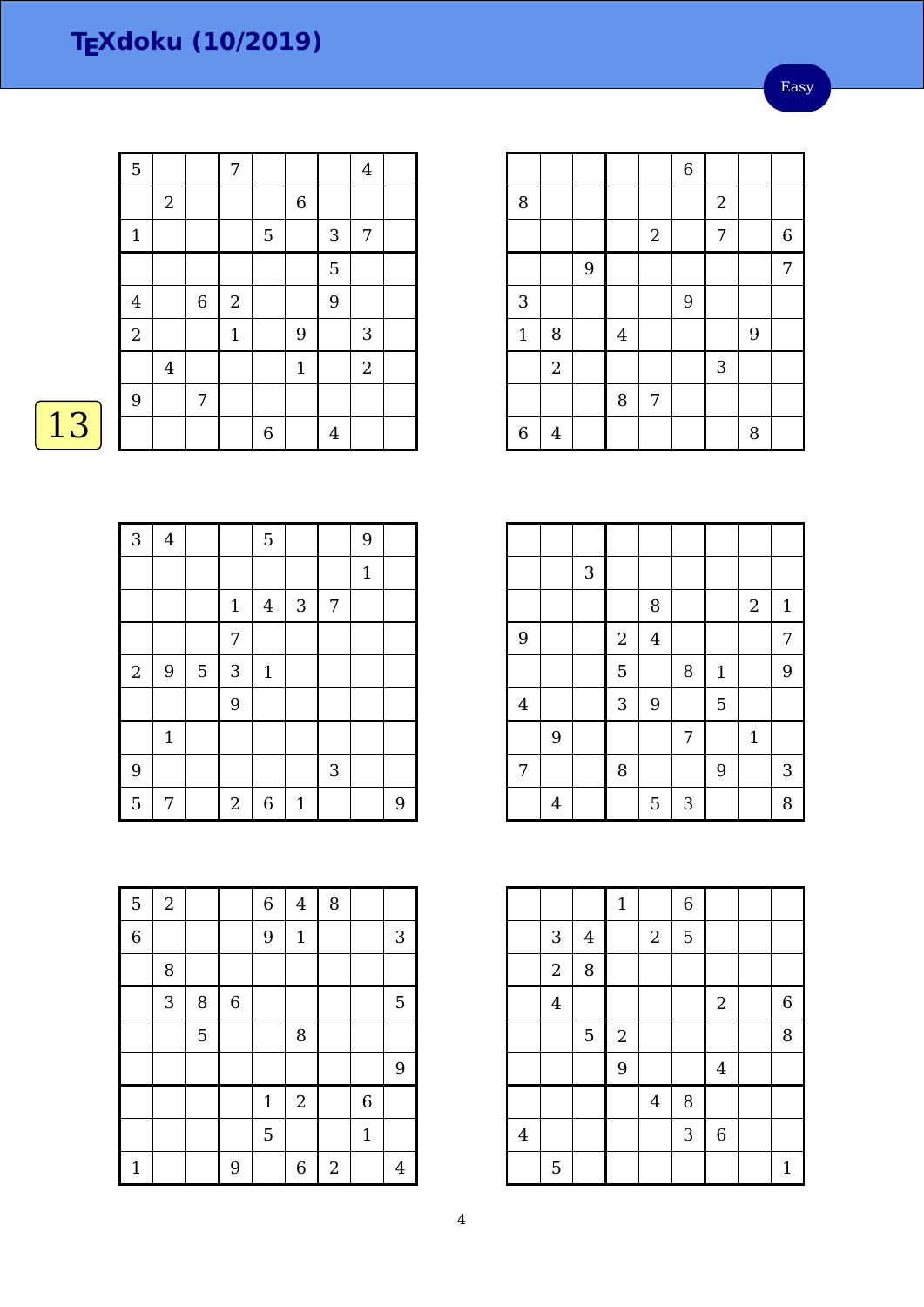|    | 5              |                |                  | 7              |             |              |            | $\overline{4}$ |  |
|----|----------------|----------------|------------------|----------------|-------------|--------------|------------|----------------|--|
|    |                | $\mathbf{2}$   |                  |                |             | $\,$ 6 $\,$  |            |                |  |
|    | $1\,$          |                |                  |                | $\mathbf 5$ |              | $\sqrt{3}$ | 7              |  |
|    |                |                |                  |                |             |              | 5          |                |  |
|    | $\overline{4}$ |                | $\boldsymbol{6}$ | $\overline{2}$ |             |              | 9          |                |  |
|    | $\sqrt{2}$     |                |                  | $\mathbf{1}$   |             | 9            |            | $\mathbf{3}$   |  |
|    |                | $\overline{4}$ |                  |                |             | $\mathbf{1}$ |            | $\overline{2}$ |  |
|    | 9              |                | 7                |                |             |              |            |                |  |
| 13 |                |                |                  |                | $\,6\,$     |              | 4          |                |  |

| 3            | $\bf 4$ |             |                  | 5                       |              |   | 9            |   |
|--------------|---------|-------------|------------------|-------------------------|--------------|---|--------------|---|
|              |         |             |                  |                         |              |   | $\mathbf{1}$ |   |
|              |         |             | $1\,$            | $\overline{\mathbf{4}}$ | $\sqrt{3}$   | 7 |              |   |
|              |         |             | 7                |                         |              |   |              |   |
| $\mathbf{2}$ | 9       | $\mathbf 5$ | $\mathbf{3}$     | $\mathbf 1$             |              |   |              |   |
|              |         |             | 9                |                         |              |   |              |   |
|              | $1\,$   |             |                  |                         |              |   |              |   |
| 9            |         |             |                  |                         |              | 3 |              |   |
| 5            | 7       |             | $\boldsymbol{2}$ | $\boldsymbol{6}$        | $\mathbf{1}$ |   |              | 9 |

| 5              | $\overline{c}$ |   |             | $\,$ 6 $\,$ | $\overline{4}$ | 8          |             |                |
|----------------|----------------|---|-------------|-------------|----------------|------------|-------------|----------------|
| $\overline{6}$ |                |   |             | 9           | $\mathbf 1$    |            |             | 3              |
|                | 8              |   |             |             |                |            |             |                |
|                | 3              | 8 | $\,$ 6 $\,$ |             |                |            |             | 5              |
|                |                | 5 |             |             | 8              |            |             |                |
|                |                |   |             |             |                |            |             | 9              |
|                |                |   |             | $\mathbf 1$ | $\overline{c}$ |            | $\,$ 6 $\,$ |                |
|                |                |   |             | 5           |                |            | $1\,$       |                |
| $\mathbf{1}$   |                |   | 9           |             | $\overline{6}$ | $\sqrt{2}$ |             | $\overline{4}$ |

|                |            |   |         |            | $\overline{6}$ |                  |   |                  |
|----------------|------------|---|---------|------------|----------------|------------------|---|------------------|
| 8              |            |   |         |            |                | $\boldsymbol{2}$ |   |                  |
|                |            |   |         | $\sqrt{2}$ |                | 7                |   | $\boldsymbol{6}$ |
|                |            | 9 |         |            |                |                  |   | 7                |
| 3              |            |   |         |            | 9              |                  |   |                  |
| $\mathbf 1$    | 8          |   | $\bf 4$ |            |                |                  | 9 |                  |
|                | $\sqrt{2}$ |   |         |            |                | 3                |   |                  |
|                |            |   | 8       | 7          |                |                  |   |                  |
| $\overline{6}$ | 4          |   |         |            |                |                  | 8 |                  |

|         |                | $\sqrt{3}$ |                |                |   |             |                  |              |
|---------|----------------|------------|----------------|----------------|---|-------------|------------------|--------------|
|         |                |            |                | 8              |   |             | $\boldsymbol{2}$ | $\mathbf{1}$ |
| 9       |                |            | $\overline{c}$ | $\overline{4}$ |   |             |                  | 7            |
|         |                |            | 5              |                | 8 | $\mathbf 1$ |                  | 9            |
| $\bf 4$ |                |            | 3              | 9              |   | 5           |                  |              |
|         | 9              |            |                |                | 7 |             | $1\,$            |              |
| 7       |                |            | 8              |                |   | 9           |                  | 3            |
|         | $\overline{4}$ |            |                | 5              | 3 |             |                  | 8            |

|                |                |                | $\mathbf 1$ |                | $\,$ 6 $\,$ |                |                  |
|----------------|----------------|----------------|-------------|----------------|-------------|----------------|------------------|
|                | 3              | $\bf 4$        |             | $\sqrt{2}$     | 5           |                |                  |
|                | $\overline{2}$ | 8              |             |                |             |                |                  |
|                | $\overline{4}$ |                |             |                |             | $\sqrt{2}$     | $\boldsymbol{6}$ |
|                |                | $\overline{5}$ | $\sqrt{2}$  |                |             |                | 8                |
|                |                |                | 9           |                |             | $\overline{4}$ |                  |
|                |                |                |             | $\overline{4}$ | 8           |                |                  |
| $\overline{4}$ |                |                |             |                | 3           | $\,$ 6 $\,$    |                  |
|                | 5              |                |             |                |             |                | $\mathbf 1$      |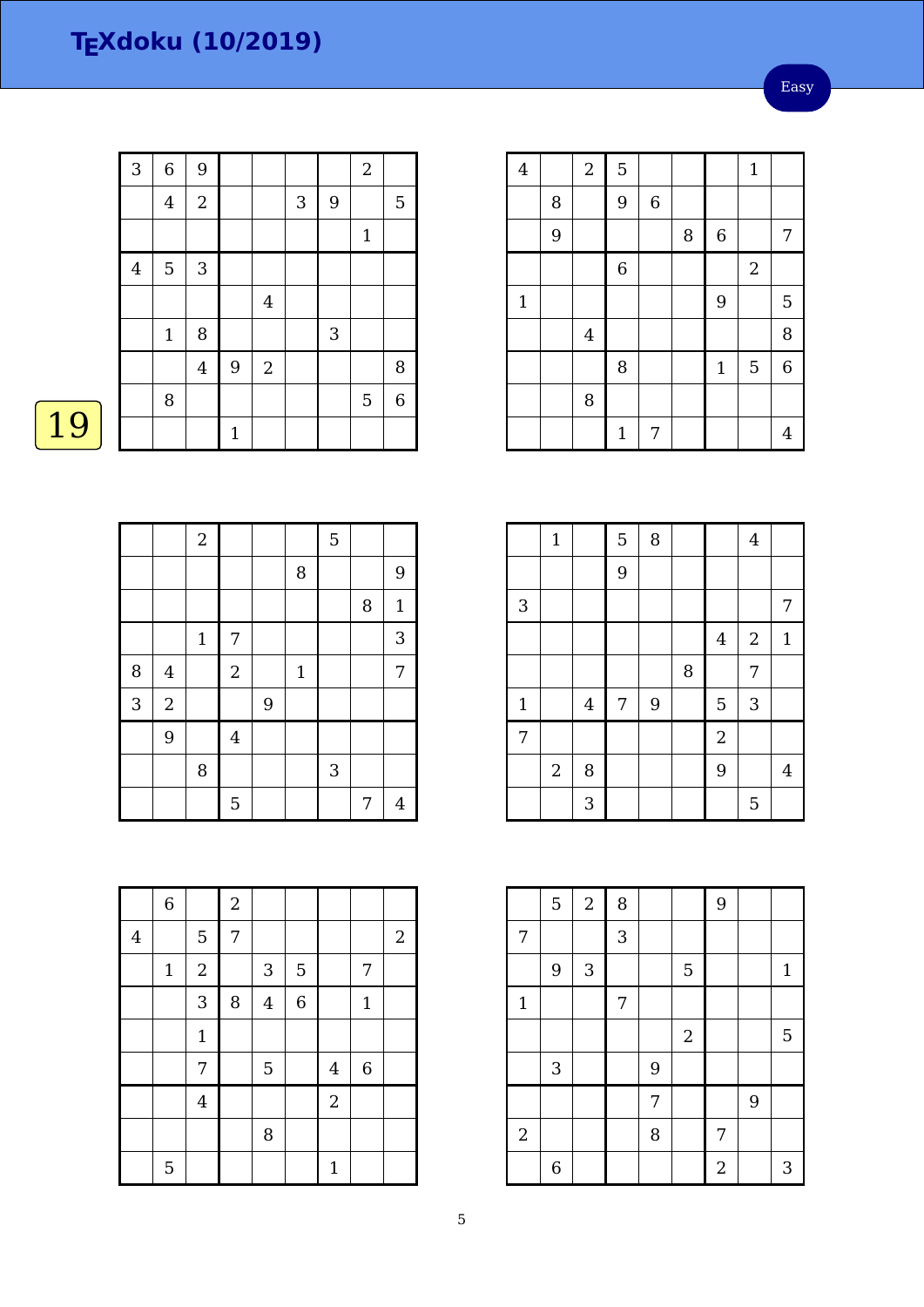|    | 3              | 6            | 9                |             |                |   |   | $\sqrt{2}$   |             |
|----|----------------|--------------|------------------|-------------|----------------|---|---|--------------|-------------|
|    |                | $\bf 4$      | $\boldsymbol{2}$ |             |                | 3 | 9 |              | 5           |
|    |                |              |                  |             |                |   |   | $\mathbf{1}$ |             |
|    | $\overline{4}$ | 5            | $\sqrt{3}$       |             |                |   |   |              |             |
|    |                |              |                  |             | $\overline{4}$ |   |   |              |             |
|    |                | $\mathbf{1}$ | $\, 8$           |             |                |   | 3 |              |             |
|    |                |              | $\overline{4}$   | 9           | $\overline{2}$ |   |   |              | 8           |
|    |                | 8            |                  |             |                |   |   | $\mathbf 5$  | $\,$ 6 $\,$ |
| 19 |                |              |                  | $\mathbf 1$ |                |   |   |              |             |

|                |                | $\overline{2}$ |                |   |              | $\overline{5}$ |        |                |
|----------------|----------------|----------------|----------------|---|--------------|----------------|--------|----------------|
|                |                |                |                |   | 8            |                |        | $\overline{9}$ |
|                |                |                |                |   |              |                | $\, 8$ | $\mathbf{1}$   |
|                |                | $\mathbf 1$    | 7              |   |              |                |        | 3              |
| 8              | $\overline{4}$ |                | $\overline{2}$ |   | $\mathbf{1}$ |                |        | 7              |
| $\overline{3}$ | $\overline{c}$ |                |                | 9 |              |                |        |                |
|                | 9              |                | $\overline{4}$ |   |              |                |        |                |
|                |                | 8              |                |   |              | 3              |        |                |
|                |                |                | 5              |   |              |                | 7      | 4              |

|                         | $\,6$       |                | $\sqrt{2}$ |         |                |                |              |            |
|-------------------------|-------------|----------------|------------|---------|----------------|----------------|--------------|------------|
| $\overline{\mathbf{4}}$ |             | 5              | 7          |         |                |                |              | $\sqrt{2}$ |
|                         | $\mathbf 1$ | $\overline{2}$ |            | 3       | $\overline{5}$ |                | 7            |            |
|                         |             | 3              | $\, 8$     | $\bf 4$ | $\,$ 6 $\,$    |                | $\mathbf{1}$ |            |
|                         |             | $1\,$          |            |         |                |                |              |            |
|                         |             | 7              |            | 5       |                | 4              | $\,$ 6 $\,$  |            |
|                         |             | $\overline{4}$ |            |         |                | $\overline{2}$ |              |            |
|                         |             |                |            | 8       |                |                |              |            |
|                         | 5           |                |            |         |                | $\mathbf{1}$   |              |            |

| $\overline{4}$ |   | $\sqrt{2}$     | 5              |             |   |              | $\mathbf{1}$ |   |
|----------------|---|----------------|----------------|-------------|---|--------------|--------------|---|
|                | 8 |                | 9              | $\,$ 6 $\,$ |   |              |              |   |
|                | 9 |                |                |             | 8 | $\,$ 6 $\,$  |              | 7 |
|                |   |                | $\overline{6}$ |             |   |              | $\sqrt{2}$   |   |
| $\mathbf{1}$   |   |                |                |             |   | 9            |              | 5 |
|                |   | $\overline{4}$ |                |             |   |              |              | 8 |
|                |   |                | 8              |             |   | $\mathbf{1}$ | 5            | 6 |
|                |   | 8              |                |             |   |              |              |   |
|                |   |                | $\mathbf 1$    | 7           |   |              |              | 4 |

|                | $\mathbf 1$ |         | 5 | 8 |   |                         | $\bf 4$    |                |
|----------------|-------------|---------|---|---|---|-------------------------|------------|----------------|
|                |             |         | 9 |   |   |                         |            |                |
| $\overline{3}$ |             |         |   |   |   |                         |            | 7              |
|                |             |         |   |   |   | $\overline{\mathbf{4}}$ | $\sqrt{2}$ | $\mathbf{1}$   |
|                |             |         |   |   | 8 |                         | 7          |                |
| $\mathbf{1}$   |             | $\bf 4$ | 7 | 9 |   | 5                       | 3          |                |
| 7              |             |         |   |   |   | $\overline{a}$          |            |                |
|                | $\sqrt{2}$  | 8       |   |   |   | 9                       |            | $\overline{4}$ |
|                |             | 3       |   |   |   |                         | 5          |                |

|                | 5           | $\sqrt{2}$ | $\, 8$ |   |                | 9          |   |              |
|----------------|-------------|------------|--------|---|----------------|------------|---|--------------|
| 7              |             |            | 3      |   |                |            |   |              |
|                | 9           | $\sqrt{3}$ |        |   | 5              |            |   | $\mathbf{1}$ |
| $\mathbf{1}$   |             |            | 7      |   |                |            |   |              |
|                |             |            |        |   | $\overline{2}$ |            |   | 5            |
|                | 3           |            |        | 9 |                |            |   |              |
|                |             |            |        | 7 |                |            | 9 |              |
| $\overline{2}$ |             |            |        | 8 |                | 7          |   |              |
|                | $\,$ 6 $\,$ |            |        |   |                | $\sqrt{2}$ |   | 3            |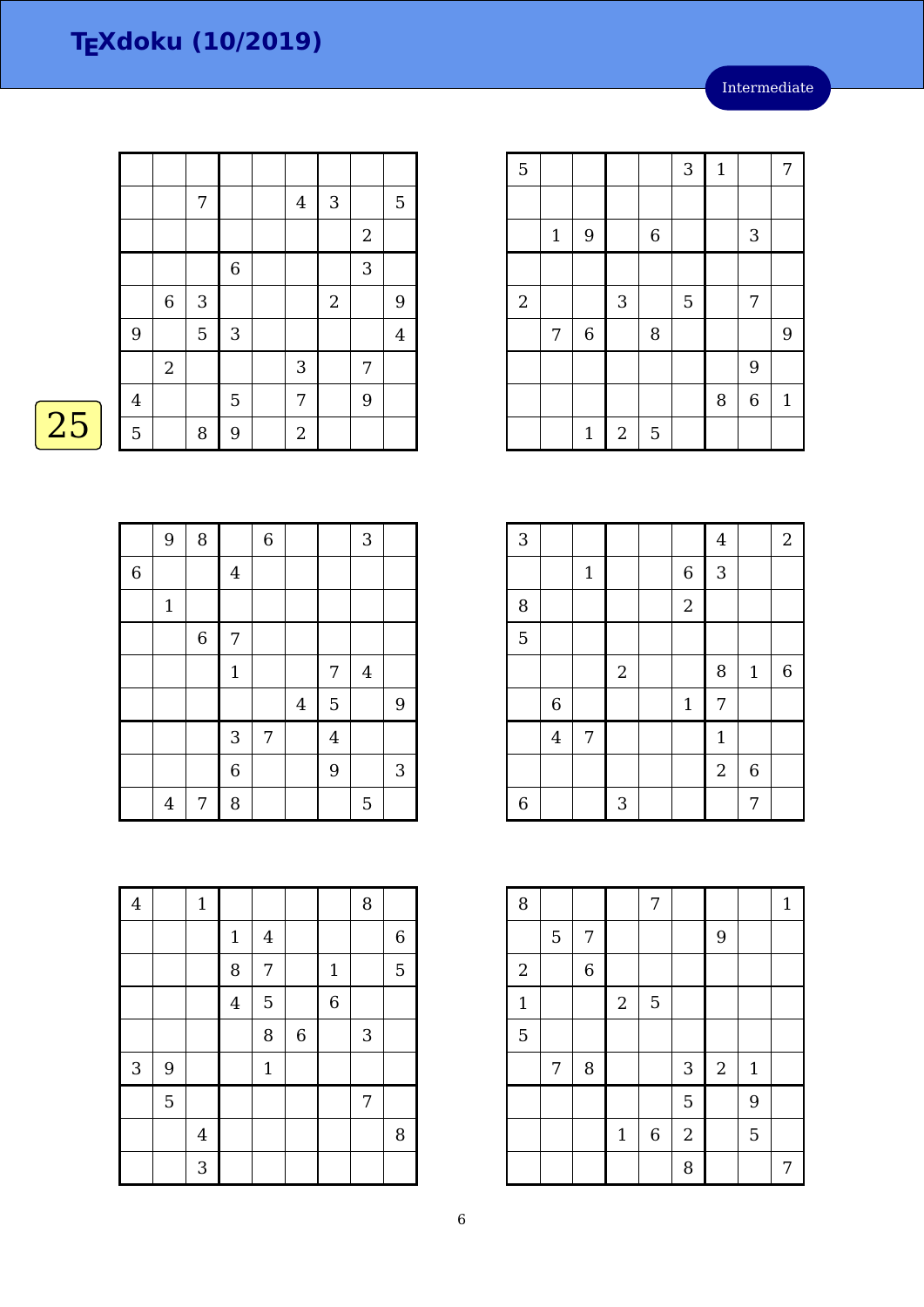|    |                |                | 7                         |                | 4          | 3              |                | 5       |
|----|----------------|----------------|---------------------------|----------------|------------|----------------|----------------|---------|
|    |                |                |                           |                |            |                | $\overline{2}$ |         |
|    |                |                |                           | $\overline{6}$ |            |                | $\sqrt{3}$     |         |
|    |                | $\,6\,$        | $\ensuremath{\mathsf{3}}$ |                |            | $\overline{2}$ |                | 9       |
|    | $\overline{9}$ |                | 5                         | $\sqrt{3}$     |            |                |                | $\bf 4$ |
|    |                | $\overline{2}$ |                           |                | 3          |                | 7              |         |
|    | $\overline{4}$ |                |                           | 5              | 7          |                | $9\,$          |         |
| 25 | 5              |                | 8                         | 9              | $\sqrt{2}$ |                |                |         |

|                | 9           | $\, 8$      |                | $\overline{6}$ |                |                | 3              |                |
|----------------|-------------|-------------|----------------|----------------|----------------|----------------|----------------|----------------|
| $\overline{6}$ |             |             | $\overline{4}$ |                |                |                |                |                |
|                | $\mathbf 1$ |             |                |                |                |                |                |                |
|                |             | $\,$ 6 $\,$ | 7              |                |                |                |                |                |
|                |             |             | $\mathbf 1$    |                |                | 7              | $\overline{4}$ |                |
|                |             |             |                |                | $\overline{4}$ | 5              |                | $\overline{9}$ |
|                |             |             | 3              | 7              |                | $\overline{4}$ |                |                |
|                |             |             | $\overline{6}$ |                |                | 9              |                | 3              |
|                | 4           | 7           | 8              |                |                |                | 5              |                |

| 5                |       |                |            |             | 3 | $\mathbf{1}$ |                | 7            |
|------------------|-------|----------------|------------|-------------|---|--------------|----------------|--------------|
|                  |       |                |            |             |   |              |                |              |
|                  | $1\,$ | $\overline{9}$ |            | $\,$ 6 $\,$ |   |              | 3              |              |
|                  |       |                |            |             |   |              |                |              |
| $\boldsymbol{2}$ |       |                | $\sqrt{3}$ |             | 5 |              | 7              |              |
|                  | 7     | $\overline{6}$ |            | 8           |   |              |                | 9            |
|                  |       |                |            |             |   |              | 9              |              |
|                  |       |                |            |             |   | 8            | $\overline{6}$ | $\mathbf{1}$ |
|                  |       | $\mathbf 1$    | $\sqrt{2}$ | 5           |   |              |                |              |

| 3              |                |             |            |                  | $\overline{4}$ |              | $\boldsymbol{2}$ |
|----------------|----------------|-------------|------------|------------------|----------------|--------------|------------------|
|                |                | $\mathbf 1$ |            | $\boldsymbol{6}$ | 3              |              |                  |
| 8              |                |             |            | $\overline{2}$   |                |              |                  |
| $\overline{5}$ |                |             |            |                  |                |              |                  |
|                |                |             | $\sqrt{2}$ |                  | 8              | $\mathbf{1}$ | $\boldsymbol{6}$ |
|                | $\,6$          |             |            | $\mathbf{1}$     | 7              |              |                  |
|                | $\overline{4}$ | 7           |            |                  | $\mathbf 1$    |              |                  |
|                |                |             |            |                  | $\overline{2}$ | $\,$ 6 $\,$  |                  |
| $\overline{6}$ |                |             | 3          |                  |                | 7            |                  |

| 8          |   |                |              | 7           |                |            |              | $\mathbf{1}$ |
|------------|---|----------------|--------------|-------------|----------------|------------|--------------|--------------|
|            | 5 | 7              |              |             |                | 9          |              |              |
| $\sqrt{2}$ |   | $\overline{6}$ |              |             |                |            |              |              |
| $1\,$      |   |                | $\sqrt{2}$   | 5           |                |            |              |              |
| 5          |   |                |              |             |                |            |              |              |
|            | 7 | 8              |              |             | 3              | $\sqrt{2}$ | $\mathbf{1}$ |              |
|            |   |                |              |             | 5              |            | 9            |              |
|            |   |                | $\mathbf{1}$ | $\,$ 6 $\,$ | $\overline{2}$ |            | 5            |              |
|            |   |                |              |             | 8              |            |              | 7            |

| $\overline{4}$ |   | $\mathbf 1$    |                |                |                |                | 8 |                |
|----------------|---|----------------|----------------|----------------|----------------|----------------|---|----------------|
|                |   |                | $1\,$          | $\overline{4}$ |                |                |   | $\overline{6}$ |
|                |   |                | 8              | 7              |                | $\mathbf{1}$   |   | 5              |
|                |   |                | $\overline{4}$ | 5              |                | $\overline{6}$ |   |                |
|                |   |                |                | 8              | $\overline{6}$ |                | 3 |                |
| 3              | 9 |                |                | $\mathbf 1$    |                |                |   |                |
|                | 5 |                |                |                |                |                | 7 |                |
|                |   | $\overline{4}$ |                |                |                |                |   | 8              |
|                |   | 3              |                |                |                |                |   |                |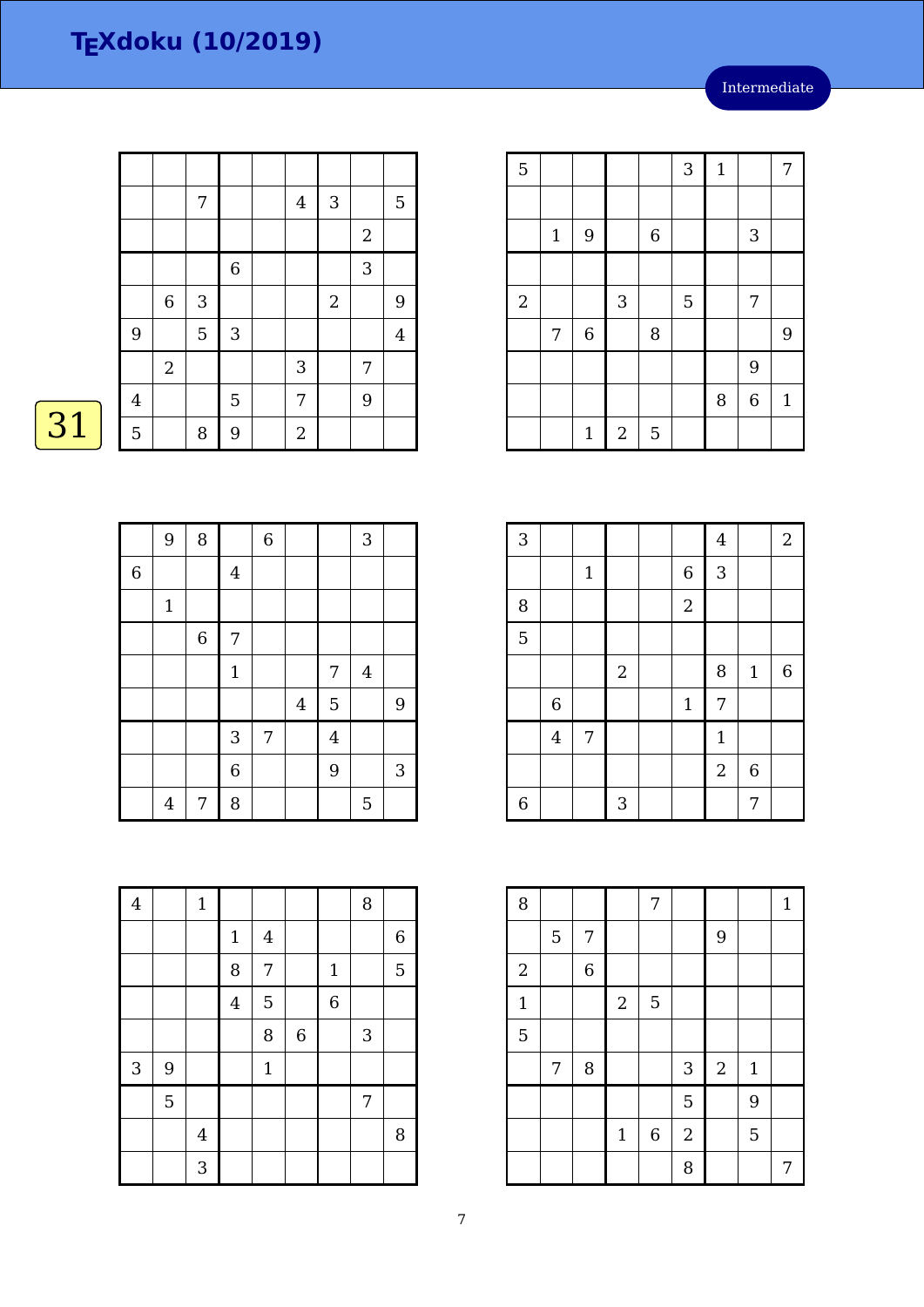|    |                |                | 7           |             | 4                         | 3              |                | $\mathbf 5$    |
|----|----------------|----------------|-------------|-------------|---------------------------|----------------|----------------|----------------|
|    |                |                |             |             |                           |                | $\overline{2}$ |                |
|    |                |                |             | $\,$ 6 $\,$ |                           |                | 3              |                |
|    |                | $\,$ 6 $\,$    | $\sqrt{3}$  |             |                           | $\overline{2}$ |                | 9              |
|    | $\overline{9}$ |                | $\mathbf 5$ | 3           |                           |                |                | $\overline{4}$ |
|    |                | $\overline{2}$ |             |             | $\ensuremath{\mathsf{3}}$ |                | 7              |                |
|    | $\overline{4}$ |                |             | 5           | 7                         |                | 9              |                |
| 31 | 5              |                | 8           | 9           | $\boldsymbol{2}$          |                |                |                |

| e e |  |
|-----|--|

|   | $\boldsymbol{9}$        | 8              |                | $\boldsymbol{6}$ |                |                | $\sqrt{3}$     |   |
|---|-------------------------|----------------|----------------|------------------|----------------|----------------|----------------|---|
| 6 |                         |                | $\overline{4}$ |                  |                |                |                |   |
|   | $\mathbf 1$             |                |                |                  |                |                |                |   |
|   |                         | $\overline{6}$ | 7              |                  |                |                |                |   |
|   |                         |                | $\mathbf{1}$   |                  |                | 7              | $\overline{4}$ |   |
|   |                         |                |                |                  | $\overline{4}$ | 5              |                | 9 |
|   |                         |                | 3              | 7                |                | $\overline{4}$ |                |   |
|   |                         |                | $\overline{6}$ |                  |                | 9              |                | 3 |
|   | $\overline{\mathbf{4}}$ | 7              | 8              |                  |                |                | 5              |   |

| 5                |       |                |            |             | 3 | $\mathbf{1}$ |                  | 7            |
|------------------|-------|----------------|------------|-------------|---|--------------|------------------|--------------|
|                  |       |                |            |             |   |              |                  |              |
|                  | $1\,$ | 9              |            | $\,$ 6 $\,$ |   |              | 3                |              |
|                  |       |                |            |             |   |              |                  |              |
| $\boldsymbol{2}$ |       |                | 3          |             | 5 |              | 7                |              |
|                  | 7     | $\overline{6}$ |            | 8           |   |              |                  | 9            |
|                  |       |                |            |             |   |              | 9                |              |
|                  |       |                |            |             |   | 8            | $\boldsymbol{6}$ | $\mathbf{1}$ |
|                  |       | $\mathbf 1$    | $\sqrt{2}$ | 5           |   |              |                  |              |

| $\overline{3}$ |                |             |            |                |                |              |                  |
|----------------|----------------|-------------|------------|----------------|----------------|--------------|------------------|
|                |                |             |            |                | $\overline{4}$ |              | $\boldsymbol{2}$ |
|                |                | $\mathbf 1$ |            | $\,$ 6 $\,$    | 3              |              |                  |
| 8              |                |             |            | $\overline{2}$ |                |              |                  |
| $\overline{5}$ |                |             |            |                |                |              |                  |
|                |                |             | $\sqrt{2}$ |                | 8              | $\mathbf{1}$ | $\boldsymbol{6}$ |
|                | $\,$ 6 $\,$    |             |            | $\mathbf 1$    | 7              |              |                  |
|                | $\overline{4}$ | 7           |            |                | $\mathbf 1$    |              |                  |
|                |                |             |            |                | $\overline{2}$ | $\,$ 6 $\,$  |                  |
| $\overline{6}$ |                |             | 3          |                |                | 7            |                  |

| 8           |                |             |                  | 7                |                |            |              | $\mathbf{1}$ |
|-------------|----------------|-------------|------------------|------------------|----------------|------------|--------------|--------------|
|             | $\overline{5}$ | 7           |                  |                  |                | 9          |              |              |
| $\sqrt{2}$  |                | $\,$ 6 $\,$ |                  |                  |                |            |              |              |
| $\mathbf 1$ |                |             | $\boldsymbol{2}$ | 5                |                |            |              |              |
| 5           |                |             |                  |                  |                |            |              |              |
|             | 7              | 8           |                  |                  | 3              | $\sqrt{2}$ | $\mathbf{1}$ |              |
|             |                |             |                  |                  | 5              |            | 9            |              |
|             |                |             | $\mathbf{1}$     | $\boldsymbol{6}$ | $\overline{2}$ |            | 5            |              |
|             |                |             |                  |                  | 8              |            |              | 7            |

| $\overline{4}$ |   | $\mathbf{1}$            |                |                |                |                | 8 |                  |
|----------------|---|-------------------------|----------------|----------------|----------------|----------------|---|------------------|
|                |   |                         | $\mathbf 1$    | $\overline{4}$ |                |                |   | $\boldsymbol{6}$ |
|                |   |                         | 8              | 7              |                | $\mathbf 1$    |   | 5                |
|                |   |                         | $\overline{4}$ | 5              |                | $\overline{6}$ |   |                  |
|                |   |                         |                | 8              | $\overline{6}$ |                | 3 |                  |
| 3              | 9 |                         |                | $\mathbf{1}$   |                |                |   |                  |
|                | 5 |                         |                |                |                |                | 7 |                  |
|                |   | $\overline{\mathbf{4}}$ |                |                |                |                |   | 8                |
|                |   | 3                       |                |                |                |                |   |                  |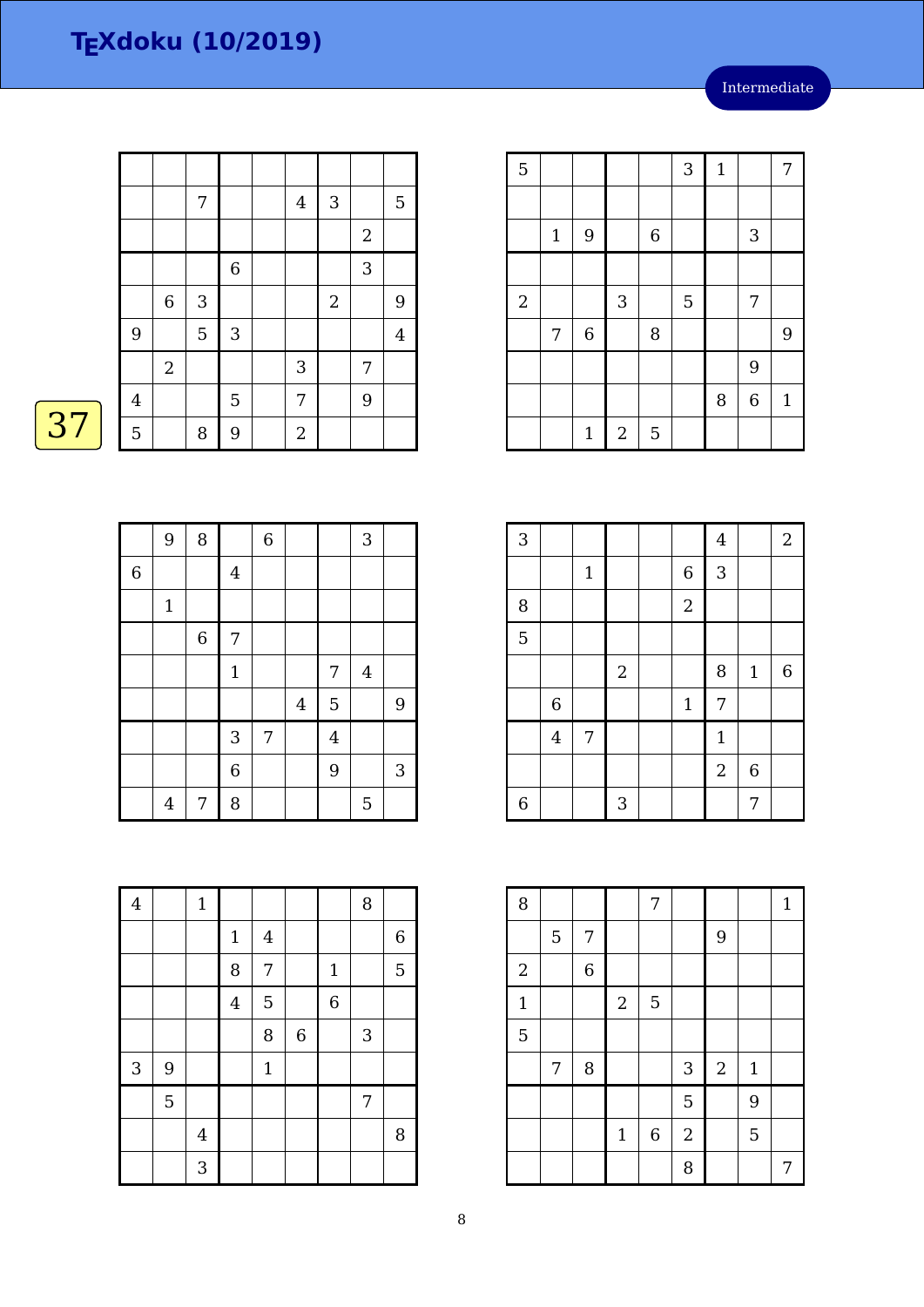|    |                |                | 7                         |                  | $\overline{4}$ | 3              |                           | 5                |
|----|----------------|----------------|---------------------------|------------------|----------------|----------------|---------------------------|------------------|
|    |                |                |                           |                  |                |                | $\mathbf{2}$              |                  |
|    |                |                |                           | $\,$ 6 $\,$      |                |                | $\ensuremath{\mathsf{3}}$ |                  |
|    |                | $\,$ 6 $\,$    | $\ensuremath{\mathsf{3}}$ |                  |                | $\overline{2}$ |                           | 9                |
|    | $\overline{9}$ |                | 5                         | $\sqrt{3}$       |                |                |                           | $\boldsymbol{4}$ |
|    |                | $\overline{2}$ |                           |                  | 3              |                | 7                         |                  |
|    | $\overline{4}$ |                |                           | 5                | 7              |                | 9                         |                  |
| 37 | 5              |                | 8                         | $\boldsymbol{9}$ | $\overline{2}$ |                |                           |                  |

|                | $\boldsymbol{9}$ | 8              |                | $\,$ 6 $\,$ |                |                | $\mathbf{3}$   |              |
|----------------|------------------|----------------|----------------|-------------|----------------|----------------|----------------|--------------|
| $\overline{6}$ |                  |                | $\overline{4}$ |             |                |                |                |              |
|                | $\mathbf 1$      |                |                |             |                |                |                |              |
|                |                  | $\overline{6}$ | 7              |             |                |                |                |              |
|                |                  |                | $\mathbf{1}$   |             |                | 7              | $\overline{4}$ |              |
|                |                  |                |                |             | $\overline{4}$ | 5              |                | 9            |
|                |                  |                | 3              | 7           |                | $\overline{4}$ |                |              |
|                |                  |                | $\overline{6}$ |             |                | 9              |                | $\mathbf{3}$ |
|                | $\overline{4}$   | 7              | 8              |             |                |                | 5              |              |

| 5                |              |                |            |   | 3 | $\mathbf{1}$ |                | 7            |
|------------------|--------------|----------------|------------|---|---|--------------|----------------|--------------|
|                  |              |                |            |   |   |              |                |              |
|                  | $\mathbf{1}$ | 9              |            | 6 |   |              | 3              |              |
|                  |              |                |            |   |   |              |                |              |
| $\boldsymbol{2}$ |              |                | $\sqrt{3}$ |   | 5 |              | 7              |              |
|                  | 7            | $\overline{6}$ |            | 8 |   |              |                | 9            |
|                  |              |                |            |   |   |              | 9              |              |
|                  |              |                |            |   |   | 8            | $\overline{6}$ | $\mathbf{1}$ |
|                  |              | $\mathbf 1$    | $\sqrt{2}$ | 5 |   |              |                |              |

| $\overline{3}$ |                |       |            |              | $\overline{4}$   |                  | $\boldsymbol{2}$ |
|----------------|----------------|-------|------------|--------------|------------------|------------------|------------------|
|                |                | $1\,$ |            | $\,$ 6 $\,$  | 3                |                  |                  |
| 8              |                |       |            | $\sqrt{2}$   |                  |                  |                  |
| $\overline{5}$ |                |       |            |              |                  |                  |                  |
|                |                |       | $\sqrt{2}$ |              | 8                | $\mathbf{1}$     | $\boldsymbol{6}$ |
|                | $\,$ 6 $\,$    |       |            | $\mathbf{1}$ | 7                |                  |                  |
|                | $\overline{4}$ | 7     |            |              | $\mathbf 1$      |                  |                  |
|                |                |       |            |              | $\boldsymbol{2}$ | $\boldsymbol{6}$ |                  |
| 6              |                |       | 3          |              |                  | 7                |                  |

| 8           |   |                |              | 7                |                |            |              | $\mathbf{1}$ |
|-------------|---|----------------|--------------|------------------|----------------|------------|--------------|--------------|
|             | 5 | 7              |              |                  |                | 9          |              |              |
| $\sqrt{2}$  |   | $\overline{6}$ |              |                  |                |            |              |              |
| $\mathbf 1$ |   |                | $\sqrt{2}$   | 5                |                |            |              |              |
| 5           |   |                |              |                  |                |            |              |              |
|             | 7 | 8              |              |                  | 3              | $\sqrt{2}$ | $\mathbf{1}$ |              |
|             |   |                |              |                  | 5              |            | 9            |              |
|             |   |                | $\mathbf{1}$ | $\boldsymbol{6}$ | $\overline{a}$ |            | 5            |              |
|             |   |                |              |                  | 8              |            |              | 7            |

| $\overline{4}$ |   | $1\,$   |                |                         |                |                | 8 |             |
|----------------|---|---------|----------------|-------------------------|----------------|----------------|---|-------------|
|                |   |         | $\mathbf 1$    | $\overline{\mathbf{4}}$ |                |                |   | $\,$ 6 $\,$ |
|                |   |         | 8              | 7                       |                | $\mathbf{1}$   |   | 5           |
|                |   |         | $\overline{4}$ | 5                       |                | $\overline{6}$ |   |             |
|                |   |         |                | 8                       | $\overline{6}$ |                | 3 |             |
| 3              | 9 |         |                | $\mathbf{1}$            |                |                |   |             |
|                | 5 |         |                |                         |                |                | 7 |             |
|                |   | $\bf 4$ |                |                         |                |                |   | 8           |
|                |   | 3       |                |                         |                |                |   |             |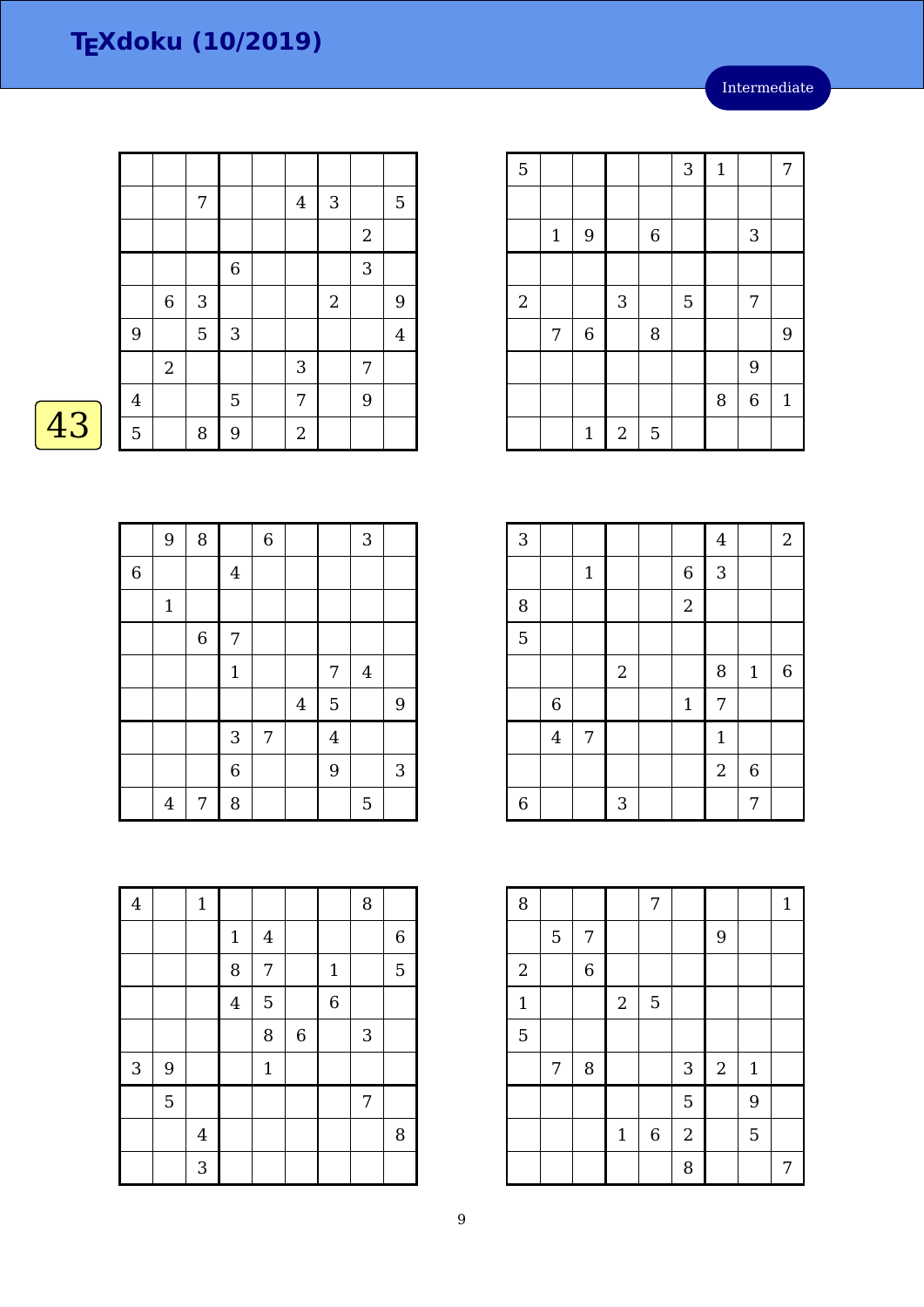|    |                |                | 7           |             | 4              | 3              |                           | 5              |
|----|----------------|----------------|-------------|-------------|----------------|----------------|---------------------------|----------------|
|    |                |                |             |             |                |                | $\boldsymbol{2}$          |                |
|    |                |                |             | $\,$ 6 $\,$ |                |                | $\ensuremath{\mathsf{3}}$ |                |
|    |                | $\,6$          | $\sqrt{3}$  |             |                | $\overline{2}$ |                           | 9              |
|    | $\overline{9}$ |                | $\mathbf 5$ | $\sqrt{3}$  |                |                |                           | $\overline{4}$ |
|    |                | $\overline{2}$ |             |             | 3              |                | 7                         |                |
|    | $\overline{4}$ |                |             | 5           | 7              |                | 9                         |                |
| 43 | 5              |                | 8           | 9           | $\overline{2}$ |                |                           |                |

| ſ |  |
|---|--|
|   |  |

|                | $\boldsymbol{9}$ | 8              |                | $\,$ 6 $\,$ |                |                | $\sqrt{3}$     |                |
|----------------|------------------|----------------|----------------|-------------|----------------|----------------|----------------|----------------|
| $\overline{6}$ |                  |                | $\overline{4}$ |             |                |                |                |                |
|                | $\mathbf 1$      |                |                |             |                |                |                |                |
|                |                  | $\overline{6}$ | 7              |             |                |                |                |                |
|                |                  |                | $\mathbf{1}$   |             |                | 7              | $\overline{4}$ |                |
|                |                  |                |                |             | $\overline{4}$ | 5              |                | $\overline{9}$ |
|                |                  |                | 3              | 7           |                | $\overline{4}$ |                |                |
|                |                  |                | $\overline{6}$ |             |                | 9              |                | 3              |
|                | 4                | 7              | 8              |             |                |                | 5              |                |

| 5          |       |                |            |             | 3 | $\mathbf 1$ |                | $\overline{7}$ |
|------------|-------|----------------|------------|-------------|---|-------------|----------------|----------------|
|            |       |                |            |             |   |             |                |                |
|            | $1\,$ | $\overline{9}$ |            | $\,$ 6 $\,$ |   |             | 3              |                |
|            |       |                |            |             |   |             |                |                |
| $\sqrt{2}$ |       |                | 3          |             | 5 |             | 7              |                |
|            | 7     | $\overline{6}$ |            | 8           |   |             |                | 9              |
|            |       |                |            |             |   |             | 9              |                |
|            |       |                |            |             |   | 8           | $\overline{6}$ | $1\,$          |
|            |       | $\mathbf 1$    | $\sqrt{2}$ | 5           |   |             |                |                |

| 3              |                |             |            |                  | $\bf 4$          |                  | $\overline{2}$   |
|----------------|----------------|-------------|------------|------------------|------------------|------------------|------------------|
|                |                | $\mathbf 1$ |            | $\boldsymbol{6}$ | 3                |                  |                  |
| 8              |                |             |            | $\overline{a}$   |                  |                  |                  |
| 5              |                |             |            |                  |                  |                  |                  |
|                |                |             | $\sqrt{2}$ |                  | 8                | $\mathbf{1}$     | $\boldsymbol{6}$ |
|                | $\,$ 6 $\,$    |             |            | $1\,$            | 7                |                  |                  |
|                | $\overline{4}$ | 7           |            |                  | $\mathbf{1}$     |                  |                  |
|                |                |             |            |                  | $\boldsymbol{2}$ | $\boldsymbol{6}$ |                  |
| $\overline{6}$ |                |             | 3          |                  |                  | 7                |                  |

| 8            |   |             |              | 7                |                |            |              | $\mathbf{1}$ |
|--------------|---|-------------|--------------|------------------|----------------|------------|--------------|--------------|
|              | 5 | 7           |              |                  |                | 9          |              |              |
| $\sqrt{2}$   |   | $\,$ 6 $\,$ |              |                  |                |            |              |              |
| $\mathbf{1}$ |   |             | $\sqrt{2}$   | 5                |                |            |              |              |
| 5            |   |             |              |                  |                |            |              |              |
|              | 7 | 8           |              |                  | 3              | $\sqrt{2}$ | $\mathbf{1}$ |              |
|              |   |             |              |                  | 5              |            | 9            |              |
|              |   |             | $\mathbf{1}$ | $\boldsymbol{6}$ | $\overline{2}$ |            | 5            |              |
|              |   |             |              |                  | 8              |            |              | 7            |

| $\overline{4}$ |   | $\mathbf{1}$            |                |                |             |                | 8 |   |
|----------------|---|-------------------------|----------------|----------------|-------------|----------------|---|---|
|                |   |                         | $1\,$          | $\overline{4}$ |             |                |   | 6 |
|                |   |                         | 8              | 7              |             | $\mathbf{1}$   |   | 5 |
|                |   |                         | $\overline{4}$ | 5              |             | $\overline{6}$ |   |   |
|                |   |                         |                | 8              | $\,$ 6 $\,$ |                | 3 |   |
| 3              | 9 |                         |                | $\mathbf{1}$   |             |                |   |   |
|                | 5 |                         |                |                |             |                | 7 |   |
|                |   | $\overline{\mathbf{4}}$ |                |                |             |                |   | 8 |
|                |   | 3                       |                |                |             |                |   |   |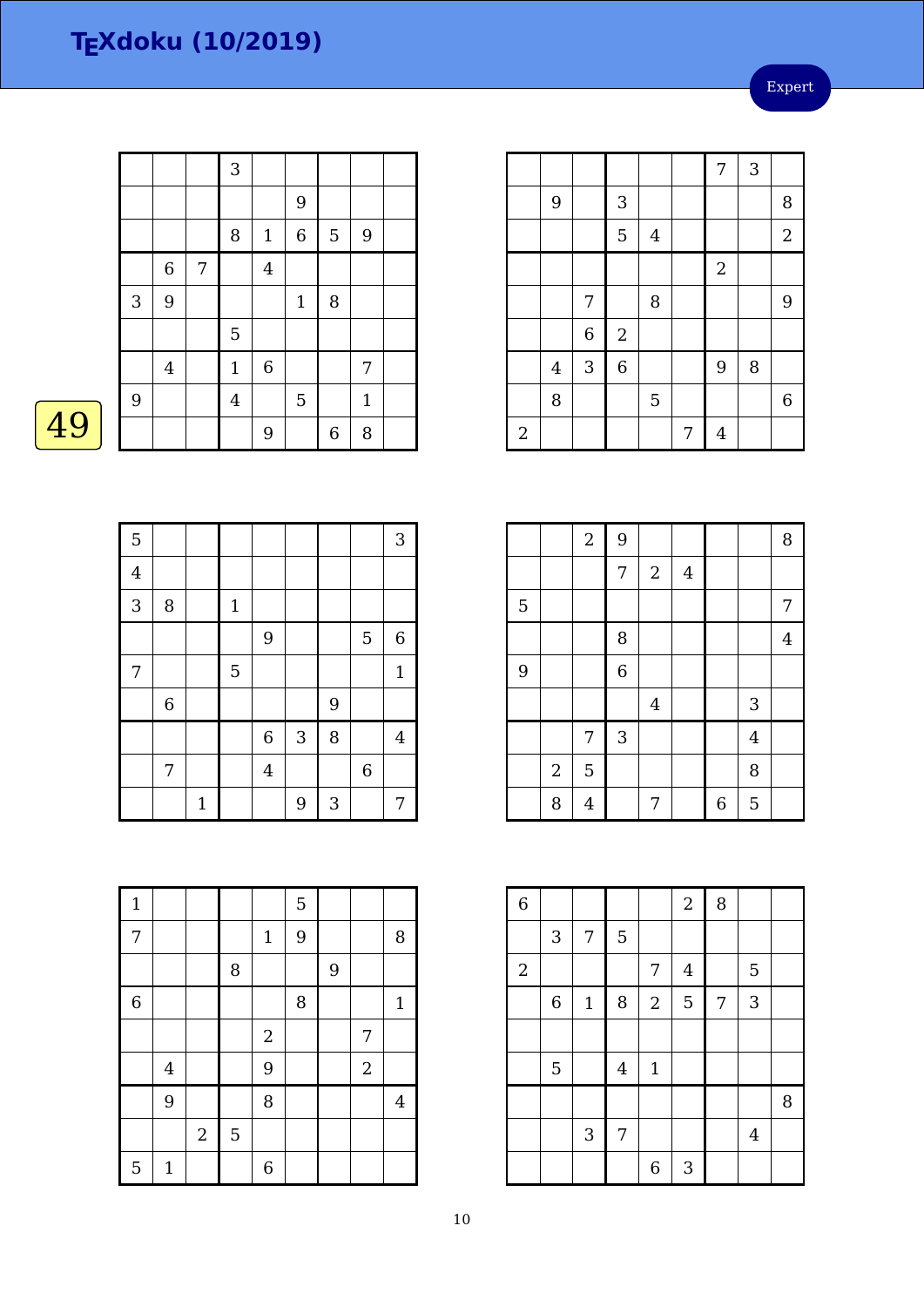Expert

 $7 \mid 3$ 

|    |   |                  |   | 3              |              |                |   |              |  |
|----|---|------------------|---|----------------|--------------|----------------|---|--------------|--|
|    |   |                  |   |                |              | $\overline{9}$ |   |              |  |
|    |   |                  |   | 8              | $\mathbf{1}$ | $\,$ 6 $\,$    | 5 | 9            |  |
|    |   | $\boldsymbol{6}$ | 7 |                | $\bf 4$      |                |   |              |  |
|    | 3 | 9                |   |                |              | $\mathbf{1}$   | 8 |              |  |
|    |   |                  |   | 5              |              |                |   |              |  |
|    |   | $\bf 4$          |   | $\mathbf{1}$   | $\,$ 6 $\,$  |                |   | 7            |  |
|    | 9 |                  |   | $\overline{4}$ |              | $\overline{5}$ |   | $\mathbf{1}$ |  |
| 49 |   |                  |   |                | 9            |                | 6 | 8            |  |
|    |   |                  |   |                |              |                |   |              |  |

|--|

| 5              |             |              |       |                  |            |   |             | $\sqrt{3}$     |
|----------------|-------------|--------------|-------|------------------|------------|---|-------------|----------------|
| $\overline{4}$ |             |              |       |                  |            |   |             |                |
| 3              | 8           |              | $1\,$ |                  |            |   |             |                |
|                |             |              |       | 9                |            |   | 5           | $\,$ 6 $\,$    |
| 7              |             |              | 5     |                  |            |   |             | $\overline{1}$ |
|                | $\,$ 6 $\,$ |              |       |                  |            | 9 |             |                |
|                |             |              |       | $\boldsymbol{6}$ | $\sqrt{3}$ | 8 |             | $\overline{4}$ |
|                | 7           |              |       | $\overline{4}$   |            |   | $\,$ 6 $\,$ |                |
|                |             | $\mathbf{1}$ |       |                  | 9          | 3 |             | 7              |

|                |                | 7           |                | 8              |   |                |   | 9        |
|----------------|----------------|-------------|----------------|----------------|---|----------------|---|----------|
|                |                | $\,$ 6 $\,$ | $\sqrt{2}$     |                |   |                |   |          |
|                | $\overline{4}$ | 3           | $\overline{6}$ |                |   | 9              | 8 |          |
|                | 8              |             |                | $\overline{5}$ |   |                |   | 6        |
| $\overline{2}$ |                |             |                |                | 7 | $\overline{4}$ |   |          |
|                |                |             |                |                |   |                |   |          |
|                |                |             |                |                |   |                |   |          |
|                |                | C           | $\Omega$       |                |   |                |   | $\Omega$ |

9 3 1 1 8

5 4 2

|   |            | $\overline{c}$ | 9              |                  |                |                  |                | 8              |
|---|------------|----------------|----------------|------------------|----------------|------------------|----------------|----------------|
|   |            |                | 7              | $\boldsymbol{2}$ | $\overline{4}$ |                  |                |                |
| 5 |            |                |                |                  |                |                  |                | 7              |
|   |            |                | 8              |                  |                |                  |                | $\overline{4}$ |
| 9 |            |                | $\overline{6}$ |                  |                |                  |                |                |
|   |            |                |                | $\overline{4}$   |                |                  | 3              |                |
|   |            | 7              | $\sqrt{3}$     |                  |                |                  | $\overline{4}$ |                |
|   | $\sqrt{2}$ | 5              |                |                  |                |                  | 8              |                |
|   | 8          | $\overline{4}$ |                | 7                |                | $\boldsymbol{6}$ | 5              |                |

| $\overline{6}$ |                           |             |                         |                  | $\overline{a}$ | 8 |                |   |
|----------------|---------------------------|-------------|-------------------------|------------------|----------------|---|----------------|---|
|                | $\ensuremath{\mathsf{3}}$ | 7           | 5                       |                  |                |   |                |   |
| $\sqrt{2}$     |                           |             |                         | 7                | $\bf 4$        |   | 5              |   |
|                | $\overline{6}$            | $\mathbf 1$ | 8                       | $\sqrt{2}$       | 5              | 7 | 3              |   |
|                |                           |             |                         |                  |                |   |                |   |
|                | $\mathbf 5$               |             | $\overline{\mathbf{4}}$ | $\mathbf{1}$     |                |   |                |   |
|                |                           |             |                         |                  |                |   |                | 8 |
|                |                           | $\sqrt{3}$  | 7                       |                  |                |   | $\overline{4}$ |   |
|                |                           |             |                         | $\boldsymbol{6}$ | 3              |   |                |   |

| $\mathbf{1}$   |              |                  |                |                  | 5 |   |            |              |
|----------------|--------------|------------------|----------------|------------------|---|---|------------|--------------|
| 7              |              |                  |                | $\mathbf{1}$     | 9 |   |            | 8            |
|                |              |                  | 8              |                  |   | 9 |            |              |
| $\overline{6}$ |              |                  |                |                  | 8 |   |            | $\mathbf{1}$ |
|                |              |                  |                | $\boldsymbol{2}$ |   |   | 7          |              |
|                | $\bf 4$      |                  |                | 9                |   |   | $\sqrt{2}$ |              |
|                | 9            |                  |                | 8                |   |   |            | $\bf 4$      |
|                |              | $\boldsymbol{2}$ | $\overline{5}$ |                  |   |   |            |              |
| $\mathbf 5$    | $\mathbf{1}$ |                  |                | $\boldsymbol{6}$ |   |   |            |              |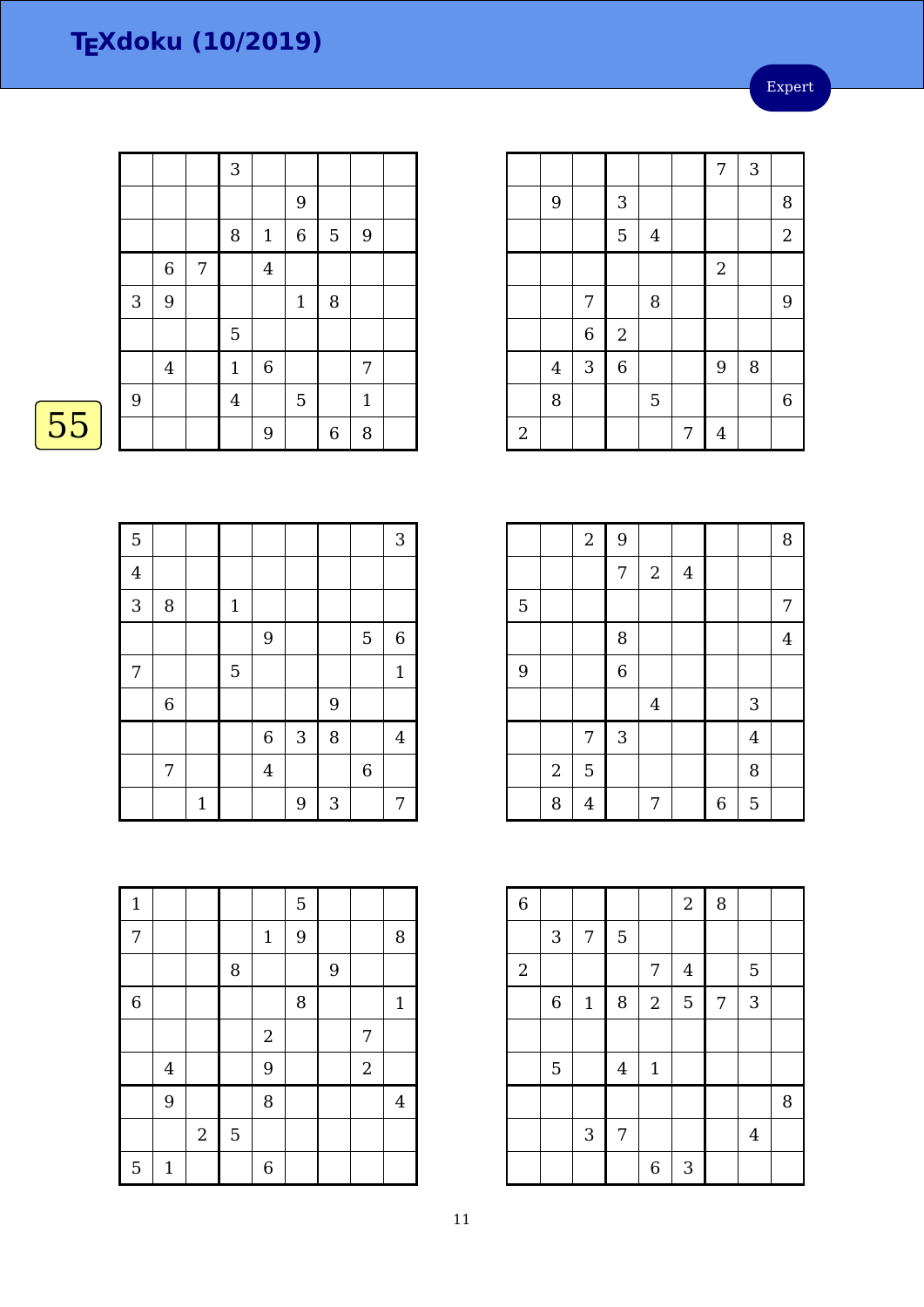Expert

|    |   |             |   | 3              |             |                  |   |              |  |
|----|---|-------------|---|----------------|-------------|------------------|---|--------------|--|
|    |   |             |   |                |             | $\boldsymbol{9}$ |   |              |  |
|    |   |             |   | 8              | $\mathbf 1$ | $\,$ 6 $\,$      | 5 | 9            |  |
|    |   | $\,$ 6 $\,$ | 7 |                | $\bf 4$     |                  |   |              |  |
|    | 3 | 9           |   |                |             | $\mathbf{1}$     | 8 |              |  |
|    |   |             |   | 5              |             |                  |   |              |  |
|    |   | $\bf 4$     |   | $\mathbf{1}$   | $\,$ 6 $\,$ |                  |   | 7            |  |
|    | 9 |             |   | $\overline{4}$ |             | $\overline{5}$   |   | $\mathbf{1}$ |  |
| 55 |   |             |   |                | 9           |                  | 6 | 8            |  |
|    |   |             |   |                |             |                  |   |              |  |

| $\overline{5}$   |                  |              |             |                |   |   |                | 3              |
|------------------|------------------|--------------|-------------|----------------|---|---|----------------|----------------|
| $\overline{4}$   |                  |              |             |                |   |   |                |                |
| $\overline{3}$   | 8                |              | $\mathbf 1$ |                |   |   |                |                |
|                  |                  |              |             | 9              |   |   | 5              | $\,$ 6 $\,$    |
| $\boldsymbol{7}$ |                  |              | 5           |                |   |   |                | $\mathbf{1}$   |
|                  | $\boldsymbol{6}$ |              |             |                |   | 9 |                |                |
|                  |                  |              |             | $\overline{6}$ | 3 | 8 |                | $\overline{4}$ |
|                  | 7                |              |             | $\overline{4}$ |   |   | $\overline{6}$ |                |
|                  |                  | $\mathbf{1}$ |             |                | 9 | 3 |                | 7              |

| $\mathbf{1}$   |                |                |   |              | 5 |   |            |                |
|----------------|----------------|----------------|---|--------------|---|---|------------|----------------|
| 7              |                |                |   | $\mathbf{1}$ | 9 |   |            | 8              |
|                |                |                | 8 |              |   | 9 |            |                |
| $\overline{6}$ |                |                |   |              | 8 |   |            | $\mathbf{1}$   |
|                |                |                |   | $\mathbf{2}$ |   |   | 7          |                |
|                | $\overline{4}$ |                |   | 9            |   |   | $\sqrt{2}$ |                |
|                | 9              |                |   | 8            |   |   |            | $\overline{4}$ |
|                |                | $\overline{2}$ | 5 |              |   |   |            |                |
| 5              | $\mathbf{1}$   |                |   | 6            |   |   |            |                |

|            |                |                |                  |                |   | $\boldsymbol{7}$ | 3 |                  |
|------------|----------------|----------------|------------------|----------------|---|------------------|---|------------------|
|            | 9              |                | 3                |                |   |                  |   | 8                |
|            |                |                | 5                | $\overline{4}$ |   |                  |   | $\overline{a}$   |
|            |                |                |                  |                |   | $\boldsymbol{2}$ |   |                  |
|            |                | 7              |                  | 8              |   |                  |   | 9                |
|            |                | $\overline{6}$ | $\boldsymbol{2}$ |                |   |                  |   |                  |
|            | $\overline{4}$ | 3              | $\overline{6}$   |                |   | 9                | 8 |                  |
|            | 8              |                |                  | 5              |   |                  |   | $\boldsymbol{6}$ |
| $\sqrt{2}$ |                |                |                  |                | 7 | 4                |   |                  |

|   |                | $\sqrt{2}$     | 9              |            |                |   |                | 8              |
|---|----------------|----------------|----------------|------------|----------------|---|----------------|----------------|
|   |                |                | $\overline{7}$ | $\sqrt{2}$ | $\overline{4}$ |   |                |                |
| 5 |                |                |                |            |                |   |                | 7              |
|   |                |                | 8              |            |                |   |                | $\overline{4}$ |
| 9 |                |                | $\overline{6}$ |            |                |   |                |                |
|   |                |                |                | $\bf 4$    |                |   | 3              |                |
|   |                | 7              | $\mathbf{3}$   |            |                |   | $\overline{4}$ |                |
|   | $\overline{2}$ | 5              |                |            |                |   | 8              |                |
|   | 8              | $\overline{4}$ |                | 7          |                | 6 | 5              |                |

| $\overline{6}$ |             |                  |                |                  | $\sqrt{2}$              | 8 |                |   |
|----------------|-------------|------------------|----------------|------------------|-------------------------|---|----------------|---|
|                | 3           | $\boldsymbol{7}$ | $\mathbf 5$    |                  |                         |   |                |   |
| $\sqrt{2}$     |             |                  |                | 7                | $\overline{\mathbf{4}}$ |   | 5              |   |
|                | $\,$ 6 $\,$ | $\mathbf 1$      | 8              | $\sqrt{2}$       | 5                       | 7 | 3              |   |
|                |             |                  |                |                  |                         |   |                |   |
|                | $\mathbf 5$ |                  | $\overline{4}$ | $\mathbf{1}$     |                         |   |                |   |
|                |             |                  |                |                  |                         |   |                | 8 |
|                |             | 3                | 7              |                  |                         |   | $\overline{4}$ |   |
|                |             |                  |                | $\boldsymbol{6}$ | 3                       |   |                |   |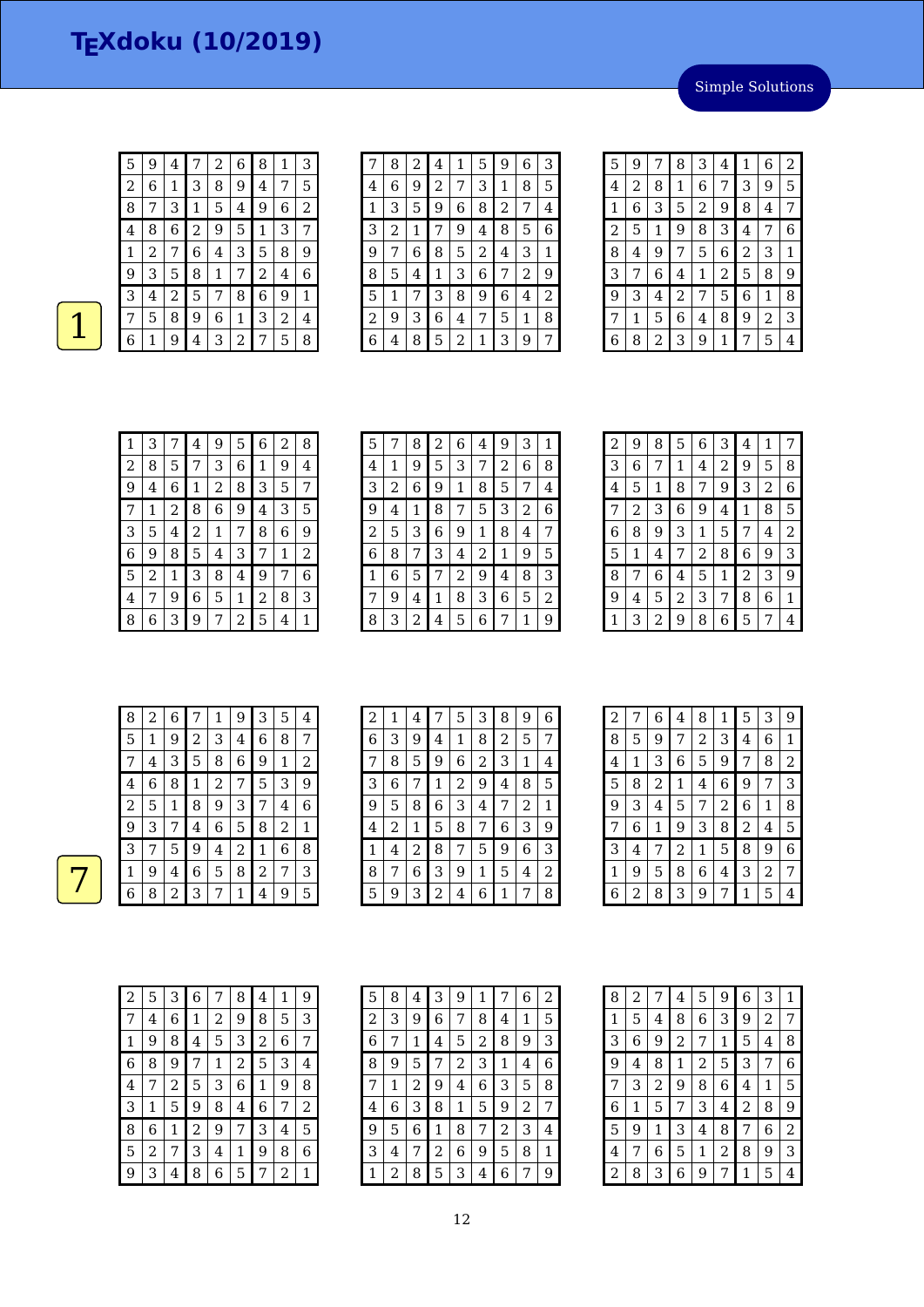Simple Solutions

| 5              | 9 | 4 | 7            | 2            | 6 | 8 | 1 | 3 |
|----------------|---|---|--------------|--------------|---|---|---|---|
| $\overline{2}$ | 6 | 1 | 3            | 8            | 9 | 4 | 7 | 5 |
| 8              | 7 | 3 | $\mathbf{1}$ | 5            | 4 | 9 | 6 | 2 |
| 4              | 8 | 6 | 2            | 9            | 5 | 1 | 3 | 7 |
| 1              | 2 | 7 | 6            | 4            | 3 | 5 | 8 | 9 |
| 9              | 3 | 5 | 8            | $\mathbf{1}$ | 7 | 2 | 4 | 6 |
| 3              | 4 | 2 | 5            | 7            | 8 | 6 | 9 | 1 |
| 7              | 5 | 8 | 9            | 6            | 1 | 3 | 2 | 4 |
| 6              | 1 | 9 | 4            | 3            | 2 | 7 | 5 | 8 |

| 7              | 8 | 2 | 4 | 1 | 5 | 9 | 6 | 3 |
|----------------|---|---|---|---|---|---|---|---|
| 4              | 6 | 9 | 2 | 7 | 3 | 1 | 8 | 5 |
| 1              | З | 5 | 9 | 6 | 8 | 2 | 7 | 4 |
| 3              | 2 | 1 | 7 | 9 | 4 | 8 | 5 | 6 |
| 9              | 7 | 6 | 8 | 5 | 2 | 4 | 3 | 1 |
| 8              | 5 | 4 | 1 | 3 | 6 | 7 | 2 | 9 |
| 5              | 1 | 7 | 3 | 8 | 9 | 6 | 4 | 2 |
| $\overline{2}$ | 9 | З | 6 | 4 | 7 | 5 | 1 | 8 |
| 6              | 4 | 8 | 5 | 2 | 1 | 3 | 9 | 7 |

| 5            | 9 | 7 | 8 | 3 | 4              | 1 | 6 | 2 |
|--------------|---|---|---|---|----------------|---|---|---|
| 4            | 2 | 8 | 1 | 6 | 7              | 3 | 9 | 5 |
| $\mathbf{1}$ | 6 | 3 | 5 | 2 | 9              | 8 | 4 | 7 |
| 2            | 5 | 1 | g | 8 | 3              | 4 | 7 | 6 |
| 8            | 4 | 9 | 7 | 5 | 6              | 2 | 3 | 1 |
| 3            | 7 | 6 | 4 | 1 | $\overline{c}$ | 5 | 8 | 9 |
| 9            | 3 | 4 | 2 | 7 | 5              | 6 | 1 | 8 |
| 7            | 1 | 5 | 6 | 4 | 8              | 9 | 2 | 3 |
| 6            | 8 | 2 | 3 | 9 | 1              | 7 | 5 | 4 |

| 1              | 3 | 7                       | 4                         | 9 | 5 | 6 | 2 | 8 |
|----------------|---|-------------------------|---------------------------|---|---|---|---|---|
| 2              | 8 | 5                       | 7                         | 3 | 6 | 1 | 9 | 4 |
| 9              | 4 | 6                       | $\mathbf 1$               | 2 | 8 | 3 | 5 | 7 |
| 7              | 1 | 2                       | 8                         | 6 | 9 | 4 | 3 | 5 |
| З              | 5 | $\overline{\mathbf{4}}$ | 2                         | 1 | 7 | 8 | 6 | 9 |
| 6              | 9 | 8                       | 5                         | 4 | 3 | 7 | 1 | 2 |
| 5              | 2 | 1                       | $\ensuremath{\mathsf{3}}$ | 8 | 4 | 9 | 7 | 6 |
| $\overline{4}$ |   | 9                       | 6                         | 5 | 1 | 2 | 8 | 3 |
| 8              | 6 | 3                       | 9                         | 7 | 2 | 5 | 4 | 1 |

| 5 |   | 8 | 2 | 6           | 4 | 9              | 3 | 1 |
|---|---|---|---|-------------|---|----------------|---|---|
| 4 | 1 | 9 | 5 | 3           | 7 | $\overline{2}$ | 6 | 8 |
| 3 | 2 | 6 | 9 | $\mathbf 1$ | 8 | 5              | 7 | 4 |
| 9 | 4 | 1 | 8 | 7           | 5 | 3              | 2 | 6 |
| 2 | 5 | 3 | 6 | 9           | 1 | 8              | 4 | 7 |
| 6 | 8 | 7 | 3 | 4           | 2 | 1              | 9 | 5 |
| 1 | 6 | 5 | 7 | 2           | 9 | 4              | 8 | 3 |
| 7 | 9 | 4 | 1 | 8           | 3 | 6              | 5 | 2 |
| 8 | 3 | 2 | 4 | 5           | 6 | 7              | 1 | 9 |

| $\overline{2}$ | 9 | 8 | 5 | 6 | 3 | 4 | 1 | 7 |
|----------------|---|---|---|---|---|---|---|---|
| 3              | 6 | 7 | 1 | 4 | 2 | 9 | 5 | 8 |
| 4              | 5 | 1 | 8 | 7 | 9 | 3 | 2 | 6 |
| 7              | 2 | 3 | 6 | 9 | 4 | 1 | 8 | 5 |
| 6              | 8 | 9 | 3 | 1 | 5 | 7 | 4 | 2 |
| 5              | 1 | 4 | 7 | 2 | 8 | 6 | 9 | 3 |
| 8              | 7 | 6 | 4 | 5 | 1 | 2 | 3 | 9 |
| 9              | 4 | 5 | 2 | 3 | 7 | 8 | 6 | 1 |
| 1              | 3 | 2 | 9 | 8 | 6 | 5 | 7 | 4 |

| 8 | 2 | 6 |             | 1 | 9 | 3 | 5 | 4 |
|---|---|---|-------------|---|---|---|---|---|
| 5 | 1 | 9 | 2           | 3 | 4 | 6 | 8 | 7 |
|   | 4 | 3 | 5           | 8 | 6 | 9 | 1 | 2 |
| 4 | 6 | 8 | $\mathbf 1$ | 2 | 7 | 5 | 3 | 9 |
| 2 | 5 | 1 | 8           | 9 | 3 | 7 | 4 | 6 |
| 9 | 3 | 7 | 4           | 6 | 5 | 8 | 2 | 1 |
| 3 | 7 | 5 | 9           | 4 | 2 | 1 | 6 | 8 |
| 1 | 9 | 4 | 6           | 5 | 8 | 2 | 7 | 3 |
| 6 | 8 | 2 | 3           | 7 | 1 | 4 | 9 | 5 |

| 2 | 1 | 4 | 7              | 5              | 3 | 8 | 9 | 6 |
|---|---|---|----------------|----------------|---|---|---|---|
| 6 | 3 | 9 | 4              | 1              | 8 | 2 | 5 | 7 |
| 7 | 8 | 5 | 9              | 6              | 2 | 3 | 1 | 4 |
| 3 | 6 |   | 1              | $\overline{c}$ | 9 | 4 | 8 | 5 |
| 9 | 5 | 8 | 6              | 3              | 4 | 7 | 2 | 1 |
| 4 | 2 | 1 | 5              | 8              | 7 | 6 | 3 | 9 |
| 1 | 4 | 2 | 8              | 7              | 5 | 9 | 6 | 3 |
| 8 |   | 6 | 3              | 9              | 1 | 5 | 4 | 2 |
| 5 | 9 | 3 | $\overline{2}$ | 4              | 6 | 1 | 7 | 8 |

| $\overline{2}$ | 7 | 6              | 4              | 8           | 1              | 5              | 3              | 9 |
|----------------|---|----------------|----------------|-------------|----------------|----------------|----------------|---|
| 8              | 5 | 9              | 7              | 2           | 3              | 4              | 6              | 1 |
| 4              | 1 | 3              | 6              | 5           | 9              | 7              | 8              | 2 |
| 5              | 8 | $\overline{c}$ | 1              | 4           | 6              | 9              | 7              | 3 |
| 9              | 3 | 4              | 5              | 7           | $\overline{2}$ | 6              | 1              | 8 |
| 7              | 6 | $\mathbf{1}$   | 9              | 3           | 8              | $\overline{c}$ | 4              | 5 |
| 3              | 4 | 7              | $\overline{c}$ | $\mathbf 1$ | 5              | 8              | 9              | 6 |
| 1              | 9 | 5              | 8              | 6           | 4              | 3              | $\overline{2}$ | 7 |
| 6              | 2 | 8              | 3              | 9           | 7              | 1              | 5              | 4 |

| 2 | 5 | 3 | 6 | 7 | 8              | 4 | 1 | 9 |
|---|---|---|---|---|----------------|---|---|---|
| 7 | 4 | 6 | 1 | 2 | 9              | 8 | 5 | 3 |
| 1 | 9 | 8 | 4 | 5 | 3              | 2 | 6 | 7 |
| 6 | 8 | 9 | 7 | 1 | $\overline{c}$ | 5 | 3 | 4 |
| 4 | 7 | 2 | 5 | 3 | 6              | 1 | 9 | 8 |
| 3 | 1 | 5 | 9 | 8 | 4              | 6 | 7 | 2 |
| 8 | 6 | 1 | 2 | 9 | 7              | 3 | 4 | 5 |
| 5 | 2 |   | 3 | 4 | 1              | 9 | 8 | 6 |
| 9 | 3 | 4 | 8 | 6 | 5              | 7 | 2 | 1 |

| 5              | 8 | 4 | 3 | 9 | 1 |   | 6 | 2 |
|----------------|---|---|---|---|---|---|---|---|
| $\overline{c}$ | 3 | 9 | 6 | 7 | 8 | 4 | 1 | 5 |
| 6              | 7 | 1 | 4 | 5 | 2 | 8 | 9 | З |
| 8              | 9 | 5 | 7 | 2 | 3 | 1 | 4 | 6 |
| 7              | 1 | 2 | 9 | 4 | 6 | 3 | 5 | 8 |
| 4              | 6 | З | 8 | 1 | 5 | 9 | 2 | 7 |
| 9              | 5 | 6 | 1 | 8 | 7 | 2 | З | 4 |
| 3              | 4 | 7 | 2 | 6 | 9 | 5 | 8 | 1 |
| 1              | 2 | 8 | 5 | 3 | 4 | 6 |   | 9 |

| 8 | 2 | 7 | 4              | 5 | 9 | 6 | 3              | 1 |
|---|---|---|----------------|---|---|---|----------------|---|
| 1 | 5 | 4 | 8              | 6 | 3 | 9 | $\overline{c}$ | 7 |
| 3 | 6 | 9 | $\overline{c}$ | 7 | 1 | 5 | 4              | 8 |
| 9 | 4 | 8 | 1              | 2 | 5 | 3 | 7              | 6 |
| 7 | 3 | 2 | 9              | 8 | 6 | 4 | 1              | 5 |
| 6 | 1 | 5 | 7              | 3 | 4 | 2 | 8              | 9 |
| 5 | 9 | 1 | 3              | 4 | 8 | 7 | 6              | 2 |
| 4 | 7 | 6 | 5              | 1 | 2 | 8 | 9              | 3 |
| 2 | 8 | З | 6              | 9 | 7 | 1 | 5              | 4 |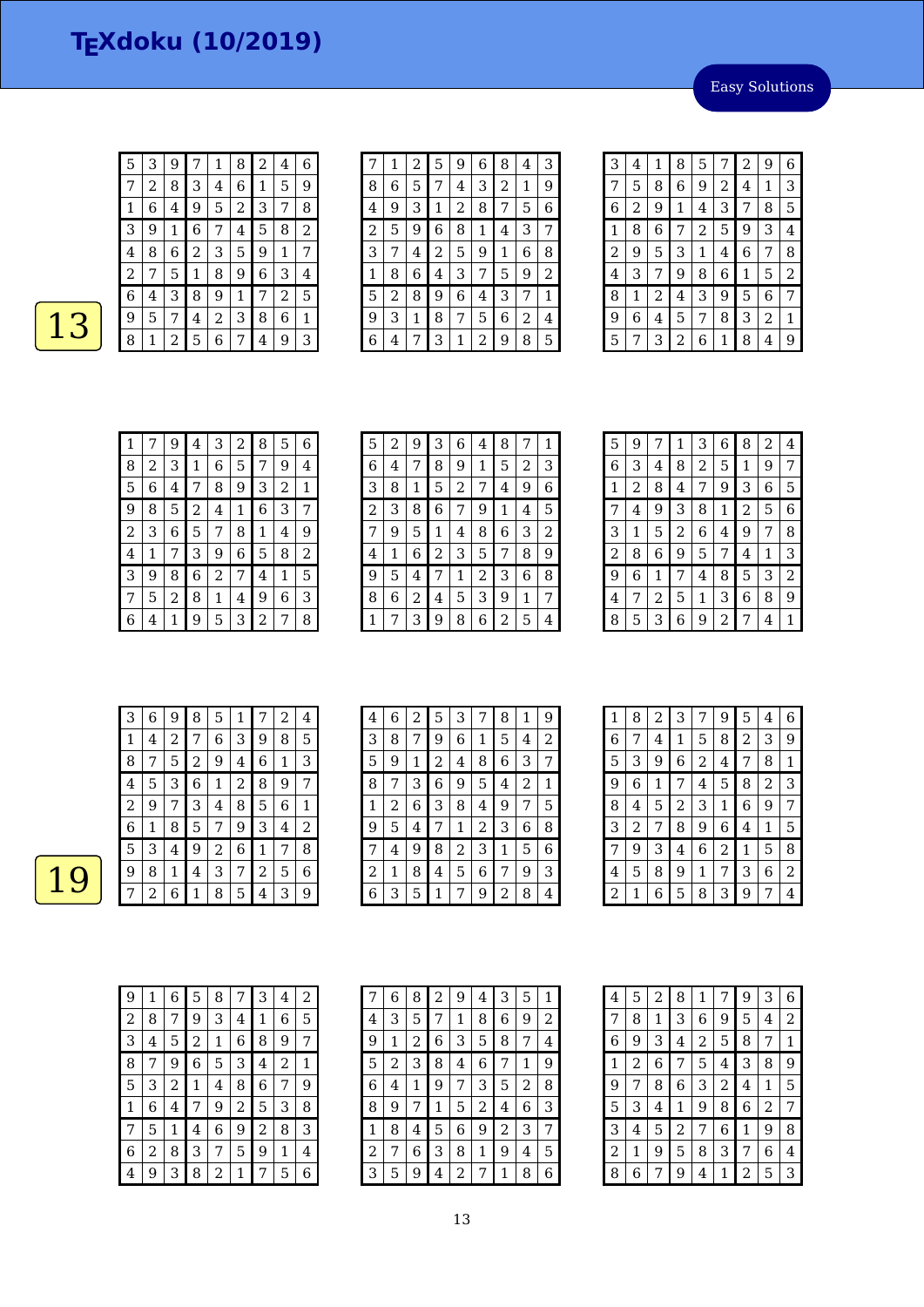Easy Solutions

| 5              | 3              | 9 |   | 1 | 8              | 2 | 4 | 6 |
|----------------|----------------|---|---|---|----------------|---|---|---|
| 7              | $\overline{2}$ | 8 | З | 4 | 6              | 1 | 5 | 9 |
| 1              | 6              | 4 | 9 | 5 | 2              | 3 | 7 | 8 |
| 3              | 9              | 1 | 6 | 7 | $\overline{4}$ | 5 | 8 | 2 |
| 4              | 8              | 6 | 2 | 3 | 5              | 9 | 1 | 7 |
| $\overline{2}$ | 7              | 5 | 1 | 8 | 9              | 6 | 3 | 4 |
| 6              | 4              | 3 | 8 | 9 | 1              | 7 | 2 | 5 |
| 9              | 5              | 7 | 4 | 2 | 3              | 8 | 6 | 1 |
| 8              | 1              | 2 | 5 | 6 | 7              | 4 | 9 | 3 |

|   | 1 | 2 | 5 | 9              | 6 | 8 | 4 | З |
|---|---|---|---|----------------|---|---|---|---|
| 8 | 6 | 5 | 7 | 4              | 3 | 2 | 1 | 9 |
| 4 | 9 | 3 | 1 | $\overline{c}$ | 8 | 7 | 5 | 6 |
| 2 | 5 | 9 | 6 | 8              | 1 | 4 | 3 | 7 |
| 3 | 7 | 4 | 2 | 5              | 9 | 1 | 6 | 8 |
| 1 | 8 | 6 | 4 | 3              | 7 | 5 | 9 | 2 |
| 5 | 2 | 8 | 9 | 6              | 4 | 3 | 7 | 1 |
| 9 | 3 | 1 | 8 | 7              | 5 | 6 | 2 | 4 |
|   | 4 |   | 3 | 1              | 2 | 9 | 8 | 5 |

| 3              | 4 | 1 | 8 | 5 |   | 2 | 9              | 6              |
|----------------|---|---|---|---|---|---|----------------|----------------|
| 7              | 5 | 8 | 6 | 9 | 2 | 4 | 1              | 3              |
| 6              | 2 | 9 | 1 | 4 | 3 | 7 | 8              | 5              |
| $\mathbf{1}$   | 8 | 6 | 7 | 2 | 5 | 9 | 3              | 4              |
| $\overline{a}$ | 9 | 5 | 3 | 1 | 4 | 6 | 7              | 8              |
| 4              | 3 | 7 | 9 | 8 | 6 | 1 | 5              | $\overline{2}$ |
| 8              | 1 | 2 | 4 | 3 | 9 | 5 | 6              | 7              |
| 9              | 6 | 4 | 5 | 7 | 8 | 3 | $\overline{2}$ | $\mathbf{1}$   |
| 5              | 7 | 3 | 2 | 6 | 1 | 8 | 4              | 9              |

| 1 |   | 9 | 4 | З | 2 | 8 | 5 | 6 |
|---|---|---|---|---|---|---|---|---|
| 8 | 2 | 3 | 1 | 6 | 5 | 7 | 9 | 4 |
| 5 | 6 | 4 | 7 | 8 | 9 | 3 | 2 | 1 |
| 9 | 8 | 5 | 2 | 4 | 1 | 6 | 3 | 7 |
| 2 | 3 | 6 | 5 | 7 | 8 | 1 | 4 | 9 |
| 4 | 1 | 7 | 3 | 9 | 6 | 5 | 8 | 2 |
| 3 | 9 | 8 | 6 | 2 | 7 | 4 | 1 | 5 |
|   | 5 | 2 | 8 | 1 | 4 | 9 | 6 | 3 |
| 6 | 4 | 1 | 9 | 5 | 3 | 2 |   | 8 |

| 5 | 2 | 9 | 3 | 6              | 4 | 8 | 7 | 1 |
|---|---|---|---|----------------|---|---|---|---|
| 6 | 4 | 7 | 8 | 9              | 1 | 5 | 2 | 3 |
| 3 | 8 | 1 | 5 | $\overline{2}$ | 7 | 4 | 9 | 6 |
| 2 | 3 | 8 | 6 | 7              | 9 | 1 | 4 | 5 |
| 7 | 9 | 5 | 1 | 4              | 8 | 6 | 3 | 2 |
| 4 | 1 | 6 | 2 | 3              | 5 | 7 | 8 | 9 |
| 9 | 5 | 4 | 7 | 1              | 2 | З | 6 | 8 |
| 8 | 6 | 2 | 4 | 5              | 3 | 9 | 1 | 7 |
| 1 | 7 | 3 | 9 | 8              | 6 | 2 | 5 | 4 |

| 5           | 9 | 7 | 1 | 3 | 6 | 8 | 2 | 4 |
|-------------|---|---|---|---|---|---|---|---|
| 6           | 3 | 4 | 8 | 2 | 5 | 1 | 9 | 7 |
| $\mathbf 1$ | 2 | 8 | 4 | 7 | 9 | 3 | 6 | 5 |
| 7           | 4 | 9 | 3 | 8 | 1 | 2 | 5 | 6 |
| 3           | 1 | 5 | 2 | 6 | 4 | 9 | 7 | 8 |
| 2           | 8 | 6 | 9 | 5 | 7 | 4 | 1 | 3 |
| 9           | 6 | 1 | 7 | 4 | 8 | 5 | 3 | 2 |
| 4           | 7 | 2 | 5 | 1 | 3 | 6 | 8 | 9 |
| 8           | 5 | З | 6 | 9 | 2 | 7 | 4 | 1 |

| 3 | 6 | 9 | 8 | 5 | 1 |   | 2 | 4 |
|---|---|---|---|---|---|---|---|---|
| 1 | 4 | 2 | 7 | 6 | З | 9 | 8 | 5 |
| 8 | 7 | 5 | 2 | 9 | 4 | 6 | 1 | 3 |
| 4 | 5 | 3 | 6 | 1 | 2 | 8 | 9 | 7 |
| 2 | 9 | 7 | 3 | 4 | 8 | 5 | 6 | 1 |
| 6 | 1 | 8 | 5 | 7 | 9 | 3 | 4 | 2 |
| 5 | 3 | 4 | 9 | 2 | 6 | 1 | 7 | 8 |
| 9 | 8 | 1 | 4 | 3 | 7 | 2 | 5 | 6 |
|   | 2 | 6 | 1 | 8 | 5 | 4 | 3 | 9 |

| 4 | 6 | 2 | 5              | 3 | 7 | 8 | 1 | 9 |
|---|---|---|----------------|---|---|---|---|---|
| З | 8 | 7 | 9              | 6 | 1 | 5 | 4 | 2 |
| 5 | 9 | 1 | $\overline{c}$ | 4 | 8 | 6 | 3 | 7 |
| 8 | 7 | 3 | 6              | 9 | 5 | 4 | 2 | 1 |
| 1 | 2 | 6 | 3              | 8 | 4 | 9 | 7 | 5 |
| 9 | 5 | 4 | 7              | 1 | 2 | 3 | 6 | 8 |
| 7 | 4 | 9 | 8              | 2 | 3 | 1 | 5 | 6 |
| 2 | 1 | 8 | 4              | 5 | 6 |   | 9 | 3 |
| 6 | 3 | 5 | 1              | 7 | 9 | 2 | 8 | 4 |

| 1              | 8 | 2 | 3 | 7 | 9 | 5              | 4              | 6 |
|----------------|---|---|---|---|---|----------------|----------------|---|
| 6              | 7 | 4 | 1 | 5 | 8 | $\overline{2}$ | 3              | 9 |
| 5              | 3 | 9 | 6 | 2 | 4 | 7              | 8              | 1 |
| 9              | 6 | 1 | 7 | 4 | 5 | 8              | $\overline{2}$ | 3 |
| 8              | 4 | 5 | 2 | 3 | 1 | 6              | 9              | 7 |
| 3              | 2 | 7 | 8 | 9 | 6 | 4              | 1              | 5 |
| 7              | 9 | 3 | 4 | 6 | 2 | 1              | 5              | 8 |
| 4              | 5 | 8 | 9 | 1 | 7 | 3              | 6              | 2 |
| $\overline{c}$ | 1 | 6 | 5 | 8 | 3 | 9              | 7              | 4 |

| 9 | 1 | 6 | 5 | 8 |   | 3 | 4 | 2 |
|---|---|---|---|---|---|---|---|---|
| 2 | 8 | 7 | 9 | 3 | 4 | 1 | 6 | 5 |
| 3 | 4 | 5 | 2 | 1 | 6 | 8 | 9 | 7 |
| 8 | 7 | 9 | 6 | 5 | 3 | 4 | 2 | 1 |
| 5 | 3 | 2 | 1 | 4 | 8 | 6 | 7 | 9 |
| 1 | 6 | 4 | 7 | 9 | 2 | 5 | 3 | 8 |
| 7 | 5 | 1 | 4 | 6 | 9 | 2 | 8 | 3 |
| 6 | 2 | 8 | 3 | 7 | 5 | 9 | 1 | 4 |
| 4 | g | 3 | 8 | 2 | 1 |   | 5 | 6 |

| 7 | 6 | 8 | 2 | 9           | $\overline{\mathbf{4}}$ | 3            | 5 | $1\,$ |
|---|---|---|---|-------------|-------------------------|--------------|---|-------|
| 4 | З | 5 | 7 | $\mathbf 1$ | 8                       | 6            | 9 | 2     |
| 9 | 1 | 2 | 6 | 3           | 5                       | 8            | 7 | 4     |
| 5 | 2 | 3 | 8 | 4           | 6                       | 7            | 1 | 9     |
| 6 | 4 | 1 | 9 | 7           | 3                       | 5            | 2 | 8     |
| 8 | 9 | 7 | 1 | 5           | 2                       | 4            | 6 | 3     |
| 1 | 8 | 4 | 5 | 6           | 9                       | 2            | 3 | 7     |
| 2 | 7 | 6 | З | 8           | 1                       | 9            | 4 | 5     |
| З | 5 | 9 | 4 | 2           | 7                       | $\mathbf{1}$ | 8 | 6     |

| 4 | 5 | 2 | 8              | 1 | 7 | 9 | 3 | 6 |
|---|---|---|----------------|---|---|---|---|---|
| 7 | 8 | 1 | З              | 6 | 9 | 5 | 4 | 2 |
| 6 | 9 | З | 4              | 2 | 5 | 8 | 7 | 1 |
| 1 | 2 | 6 | 7              | 5 | 4 | З | 8 | 9 |
| 9 | 7 | 8 | 6              | 3 | 2 | 4 | 1 | 5 |
| 5 | 3 | 4 | 1              | 9 | 8 | 6 | 2 | 7 |
| 3 | 4 | 5 | $\overline{c}$ | 7 | 6 | 1 | 9 | 8 |
| 2 | 1 | 9 | 5              | 8 | 3 | 7 | 6 | 4 |
| 8 | 6 | 7 | 9              | 4 | 1 | 2 | 5 | З |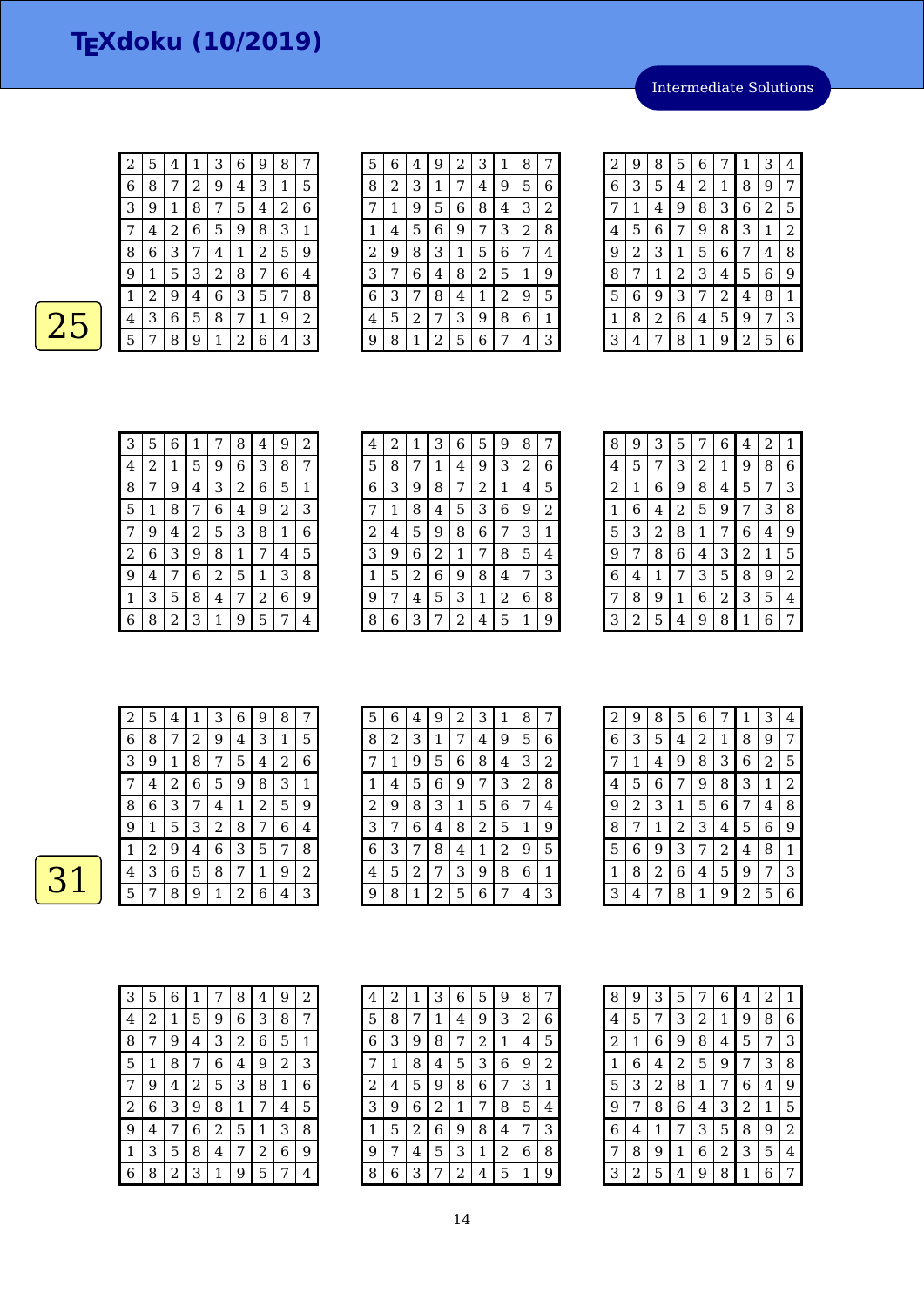Intermediate Solutions

| 2           | 5 | 4 | 1 | 3                | 6 | 9              | 8              | 7            |
|-------------|---|---|---|------------------|---|----------------|----------------|--------------|
| 6           | 8 | 7 | 2 | 9                | 4 | 3              | $\mathbf{1}$   | 5            |
| 3           | 9 | 1 | 8 | 7                | 5 | 4              | $\overline{2}$ | 6            |
| 7           | 4 | 2 | 6 | 5                | 9 | 8              | 3              | $\mathbf{1}$ |
| 8           | 6 | 3 | 7 | $\overline{4}$   | 1 | $\overline{2}$ | 5              | 9            |
| 9           | 1 | 5 | 3 | $\boldsymbol{2}$ | 8 | 7              | 6              | 4            |
| $\mathbf 1$ | 2 | 9 | 4 | 6                | 3 | 5              | 7              | 8            |
| 4           | 3 | 6 | 5 | 8                | 7 | 1              | 9              | 2            |
| 5           | 7 | 8 | 9 | 1                | 2 | 6              | 4              | 3            |

| 5              | 6 | 4 | 9 | 2 | 3 | 1 | 8 |   |
|----------------|---|---|---|---|---|---|---|---|
| 8              | 2 | 3 | 1 | 7 | 4 | 9 | 5 | 6 |
| 7              | 1 | 9 | 5 | 6 | 8 | 4 | 3 | 2 |
| 1              | 4 | 5 | 6 | 9 | 7 | 3 | 2 | 8 |
| $\overline{c}$ | 9 | 8 | 3 | 1 | 5 | 6 | 7 | 4 |
| 3              | 7 | 6 | 4 | 8 | 2 | 5 | 1 | 9 |
| 6              | 3 | 7 | 8 | 4 | 1 | 2 | 9 | 5 |
| 4              | 5 | 2 | 7 | 3 | 9 | 8 | 6 | 1 |
| 9              | 8 | 1 | 2 | 5 | 6 |   | 4 | 3 |

| 2 | 9 | 8 | 5 | 6 | 7              | 1 | 3              | 4 |
|---|---|---|---|---|----------------|---|----------------|---|
| 6 | 3 | 5 | 4 | 2 | 1              | 8 | 9              | 7 |
| 7 | 1 | 4 | 9 | 8 | 3              | 6 | $\overline{2}$ | 5 |
| 4 | 5 | 6 | 7 | 9 | 8              | 3 | 1              | 2 |
| 9 | 2 | 3 | 1 | 5 | 6              | 7 | 4              | 8 |
| 8 | 7 | 1 | 2 | 3 | 4              | 5 | 6              | g |
| 5 | 6 | 9 | 3 | 7 | $\overline{c}$ | 4 | 8              | 1 |
| 1 | 8 | 2 | 6 | 4 | 5              | 9 | 7              | 3 |
| 3 | 4 |   | 8 | 1 | 9              | 2 | 5              | 6 |

| З | 5 | 6 | 1 | 7 | 8 | 4 | 9 | 2 |
|---|---|---|---|---|---|---|---|---|
| 4 | 2 | 1 | 5 | 9 | 6 | 3 | 8 | 7 |
| 8 | 7 | 9 | 4 | 3 | 2 | 6 | 5 | 1 |
| 5 | 1 | 8 | 7 | 6 | 4 | 9 | 2 | З |
| 7 | 9 | 4 | 2 | 5 | 3 | 8 | 1 | 6 |
| 2 | 6 | 3 | 9 | 8 | 1 | 7 | 4 | 5 |
| 9 | 4 |   | 6 | 2 | 5 | 1 | 3 | 8 |
| 1 | З | 5 | 8 | 4 | 7 | 2 | 6 | 9 |
| 6 | 8 | 2 | 3 | 1 | 9 | 5 | 7 | 4 |

| 4 | 2 | 1 | З | 6 | 5 | 9 | 8 |   |
|---|---|---|---|---|---|---|---|---|
| 5 | 8 | 7 | 1 | 4 | 9 | 3 | 2 | 6 |
| 6 | З | 9 | 8 | 7 | 2 | 1 | 4 | 5 |
| 7 | 1 | 8 | 4 | 5 | З | 6 | 9 | 2 |
| 2 | 4 | 5 | 9 | 8 | 6 | 7 | З | 1 |
| 3 | 9 | 6 | 2 | 1 | 7 | 8 | 5 | 4 |
| 1 | 5 | 2 | 6 | 9 | 8 | 4 | 7 | 3 |
| 9 | 7 | 4 | 5 | 3 | 1 | 2 | 6 | 8 |
| 8 | 6 | 3 | 7 | 2 | 4 | 5 | 1 | 9 |

| 8 | 9 | 3 | 5 |                | 6 | 4 | 2 | 1 |
|---|---|---|---|----------------|---|---|---|---|
| 4 | 5 | 7 | 3 | $\overline{c}$ | 1 | 9 | 8 | 6 |
| 2 | 1 | 6 | 9 | 8              | 4 | 5 | 7 | 3 |
| 1 | 6 | 4 | 2 | 5              | 9 | 7 | 3 | 8 |
| 5 | 3 | 2 | 8 | 1              | 7 | 6 | 4 | 9 |
| 9 | 7 | 8 | 6 | 4              | З | 2 | 1 | 5 |
| 6 | 4 | 1 | 7 | 3              | 5 | 8 | 9 | 2 |
| 7 | 8 | 9 | 1 | 6              | 2 | 3 | 5 | 4 |
| З | 2 | 5 | 4 | 9              | 8 | 1 | 6 | 7 |

| 2 | 5 | 4 | 1 | З | 6 | 9              | 8 |   |
|---|---|---|---|---|---|----------------|---|---|
| 6 | 8 | 7 | 2 | 9 | 4 | 3              | 1 | 5 |
| З | 9 | 1 | 8 | 7 | 5 | 4              | 2 | 6 |
|   | 4 | 2 | 6 | 5 | 9 | 8              | 3 | 1 |
| 8 | 6 | З | 7 | 4 | 1 | $\overline{c}$ | 5 | 9 |
| 9 | 1 | 5 | З | 2 | 8 | 7              | 6 | 4 |
| 1 | 2 | 9 | 4 | 6 | 3 | 5              | 7 | 8 |
| 4 | 3 | 6 | 5 | 8 | 7 | 1              | 9 | 2 |
| 5 | 7 | 8 | 9 | 1 | 2 | 6              | 4 | 3 |

| 5 | 6 | 4 | 9            | $\overline{2}$ | 3 | 1              | 8 | 7 |
|---|---|---|--------------|----------------|---|----------------|---|---|
| 8 | 2 | 3 | $\mathbf{1}$ | 7              | 4 | 9              | 5 | 6 |
| 7 | 1 | 9 | 5            | 6              | 8 | 4              | 3 | 2 |
| 1 | 4 | 5 | 6            | 9              | 7 | 3              | 2 | 8 |
| 2 | 9 | 8 | 3            | 1              | 5 | 6              | 7 | 4 |
| 3 | 7 | 6 | 4            | 8              | 2 | 5              | 1 | 9 |
| 6 | 3 | 7 | 8            | 4              | 1 | $\overline{c}$ | 9 | 5 |
| 4 | 5 | 2 | 7            | 3              | 9 | 8              | 6 | 1 |
| 9 | 8 |   | 2            | 5              | 6 |                | 4 | 3 |

| 2 | 9 | 8            | 5 | 6 | 7 | 1              | 3              | 4              |
|---|---|--------------|---|---|---|----------------|----------------|----------------|
| 6 | 3 | 5            | 4 | 2 | 1 | 8              | 9              | 7              |
| 7 | 1 | 4            | 9 | 8 | 3 | 6              | $\overline{c}$ | 5              |
| 4 | 5 | 6            | 7 | 9 | 8 | 3              | 1              | $\overline{2}$ |
| 9 | 2 | З            | 1 | 5 | 6 | 7              | 4              | 8              |
| 8 | 7 | $\mathbf{1}$ | 2 | 3 | 4 | 5              | 6              | 9              |
| 5 | 6 | 9            | 3 | 7 | 2 | 4              | 8              | 1              |
| 1 | 8 | 2            | 6 | 4 | 5 | 9              | 7              | 3              |
| 3 | 4 | 7            | 8 | 1 | 9 | $\overline{2}$ | 5              | 6              |

| 3 | 5 | 6 | 1 | 7              | 8 | 4 | 9 | 2 |
|---|---|---|---|----------------|---|---|---|---|
| 4 | 2 | 1 | 5 | 9              | 6 | 3 | 8 | 7 |
| 8 | 7 | 9 | 4 | З              | 2 | 6 | 5 | 1 |
| 5 | 1 | 8 | 7 | 6              | 4 | 9 | 2 | З |
| 7 | 9 | 4 | 2 | 5              | З | 8 | 1 | 6 |
| 2 | 6 | 3 | 9 | 8              | 1 | 7 | 4 | 5 |
| 9 | 4 | 7 | 6 | $\overline{2}$ | 5 | 1 | 3 | 8 |
| 1 | 3 | 5 | 8 | 4              | 7 | 2 | 6 | 9 |
| 6 | 8 | 2 | 3 | 1              | 9 | 5 |   | 4 |

| 4                | $\overline{2}$ | 1 | 3 | 6 | 5 | 9 | 8 |   |
|------------------|----------------|---|---|---|---|---|---|---|
| 5                | 8              | 7 | 1 | 4 | 9 | 3 | 2 | 6 |
| $\boldsymbol{6}$ | 3              | 9 | 8 | 7 | 2 | 1 | 4 | 5 |
| 7                | 1              | 8 | 4 | 5 | 3 | 6 | 9 | 2 |
| $\overline{2}$   | 4              | 5 | 9 | 8 | 6 | 7 | 3 | 1 |
| 3                | 9              | 6 | 2 | 1 | 7 | 8 | 5 | 4 |
| 1                | 5              | 2 | 6 | 9 | 8 | 4 | 7 | 3 |
| 9                | 7              | 4 | 5 | 3 | 1 | 2 | 6 | 8 |
| 8                | 6              | З | 7 | 2 | 4 | 5 | 1 | 9 |

| 8              | 9 | 3 | 5              | 7 | 6 | 4              | 2 | 1 |
|----------------|---|---|----------------|---|---|----------------|---|---|
| 4              | 5 | 7 | 3              | 2 | 1 | 9              | 8 | 6 |
| $\overline{c}$ | 1 | 6 | 9              | 8 | 4 | 5              | 7 | 3 |
| 1              | 6 | 4 | $\overline{c}$ | 5 | 9 | 7              | 3 | 8 |
| 5              | 3 | 2 | 8              | 1 | 7 | 6              | 4 | 9 |
| 9              | 7 | 8 | 6              | 4 | 3 | $\overline{c}$ | 1 | 5 |
| 6              | 4 | 1 | 7              | 3 | 5 | 8              | 9 | 2 |
| 7              | 8 | 9 | 1              | 6 | 2 | 3              | 5 | 4 |
| З              | 2 | 5 | 4              | 9 | 8 | 1              | 6 | 7 |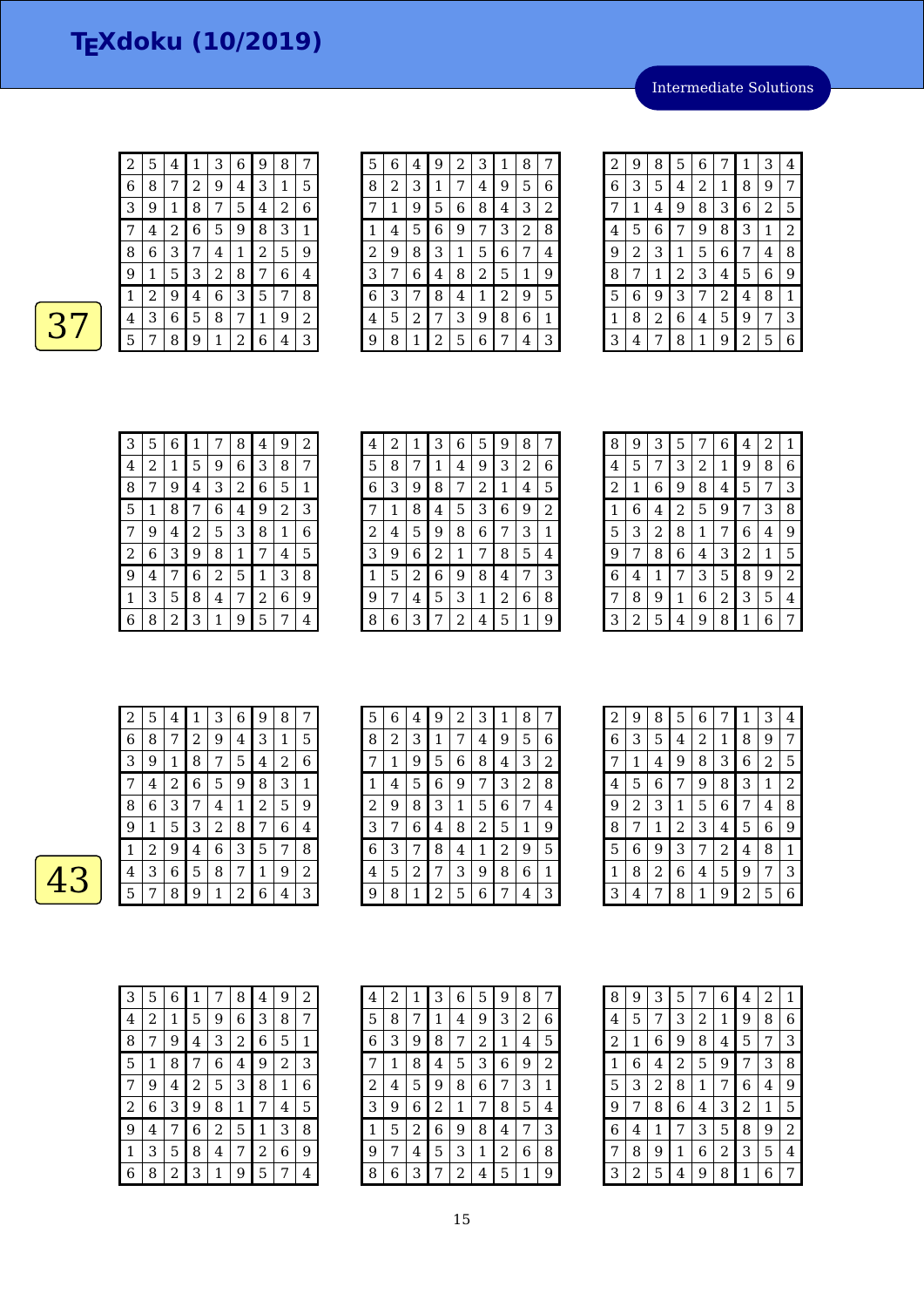Intermediate Solutions

| $\overline{c}$ | 5              | 4 | 1              | 3              | 6 | 9              | 8 | 7           |
|----------------|----------------|---|----------------|----------------|---|----------------|---|-------------|
| 6              | 8              | 7 | $\overline{c}$ | 9              | 4 | 3              | 1 | 5           |
| 3              | 9              | 1 | 8              | 7              | 5 | 4              | 2 | 6           |
| 7              | 4              | 2 | 6              | 5              | 9 | 8              | 3 | $\mathbf 1$ |
| 8              | 6              | 3 | 7              | 4              | 1 | $\overline{c}$ | 5 | 9           |
| 9              | 1              | 5 | 3              | $\overline{2}$ | 8 | 7              | 6 | $\bf 4$     |
| 1              | $\overline{2}$ | 9 | 4              | 6              | 3 | 5              | 7 | 8           |
| 4              | 3              | 6 | 5              | 8              | 7 | 1              | 9 | 2           |
| 5              | 7              | 8 | 9              | 1              | 2 | 6              | 4 | 3           |

| 5 | 6 | $\overline{\mathbf{4}}$ | 9              | 2 | 3 | 1 | 8 |   |
|---|---|-------------------------|----------------|---|---|---|---|---|
| 8 | 2 | З                       | 1              | 7 | 4 | 9 | 5 | 6 |
| 7 | 1 | 9                       | 5              | 6 | 8 | 4 | 3 | 2 |
|   | 4 | 5                       | 6              | 9 | 7 | 3 | 2 | 8 |
| 2 | 9 | 8                       | 3              | 1 | 5 | 6 | 7 | 4 |
| 3 | 7 | 6                       | 4              | 8 | 2 | 5 | 1 | 9 |
| 6 | 3 |                         | 8              | 4 | 1 | 2 | 9 | 5 |
| 4 | 5 | 2                       | 7              | 3 | 9 | 8 | 6 | 1 |
| g | 8 | 1                       | $\overline{c}$ | 5 | 6 |   | 4 | 3 |

| 2 | 9 | 8 | 5              | 6 | 7              | 1 | 3              | 4              |
|---|---|---|----------------|---|----------------|---|----------------|----------------|
| 6 | 3 | 5 | 4              | 2 | 1              | 8 | 9              | 7              |
| 7 | 1 | 4 | 9              | 8 | 3              | 6 | $\overline{c}$ | 5              |
| 4 | 5 | 6 | 7              | 9 | 8              | 3 | 1              | $\overline{c}$ |
| 9 | 2 | 3 | 1              | 5 | 6              | 7 | 4              | 8              |
| 8 | 7 | 1 | $\overline{2}$ | 3 | 4              | 5 | 6              | 9              |
| 5 | 6 | 9 | 3              | 7 | $\overline{c}$ | 4 | 8              | 1              |
| 1 | 8 | 2 | 6              | 4 | 5              | 9 | 7              | 3              |
| 3 | 4 | 7 | 8              | 1 | 9              | 2 | 5              | 6              |

| 3              | 5 | 6 | 1 | 7 | 8 | 4 | 9 | 2 |
|----------------|---|---|---|---|---|---|---|---|
| 4              | 2 | 1 | 5 | 9 | 6 | 3 | 8 | 7 |
| 8              |   | 9 | 4 | 3 | 2 | 6 | 5 | 1 |
| 5              | 1 | 8 | 7 | 6 | 4 | 9 | 2 | З |
| 7              | 9 | 4 | 2 | 5 | 3 | 8 | 1 | 6 |
| $\overline{c}$ | 6 | 3 | 9 | 8 | 1 | 7 | 4 | 5 |
| 9              | 4 |   | 6 | 2 | 5 | 1 | 3 | 8 |
| 1              | З | 5 | 8 | 4 | 7 | 2 | 6 | 9 |
| 6              | 8 | 2 | 3 | 1 | 9 | 5 | 7 | 4 |

| 4 | 2 | 1 | 3 | 6 | 5 | 9 | 8 | 7 |
|---|---|---|---|---|---|---|---|---|
| 5 | 8 | 7 | 1 | 4 | 9 | 3 | 2 | 6 |
| 6 | 3 | 9 | 8 | 7 | 2 | 1 | 4 | 5 |
| 7 | 1 | 8 | 4 | 5 | 3 | 6 | 9 | 2 |
| 2 | 4 | 5 | 9 | 8 | 6 | 7 | 3 | 1 |
| 3 | 9 | 6 | 2 | 1 | 7 | 8 | 5 | 4 |
| 1 | 5 | 2 | 6 | 9 | 8 | 4 | 7 | 3 |
| 9 | 7 | 4 | 5 | 3 | 1 | 2 | 6 | 8 |
| 8 | 6 | 3 | 7 | 2 | 4 | 5 | 1 | 9 |

| 8 | 9 | 3 | 5              | 7 | 6 | 4 | 2 | 1              |
|---|---|---|----------------|---|---|---|---|----------------|
| 4 | 5 | 7 | 3              | 2 | 1 | 9 | 8 | 6              |
| 2 | 1 | 6 | 9              | 8 | 4 | 5 | 7 | 3              |
| 1 | 6 | 4 | $\overline{c}$ | 5 | 9 | 7 | 3 | 8              |
| 5 | 3 | 2 | 8              | 1 | 7 | 6 | 4 | 9              |
| 9 | 7 | 8 | 6              | 4 | 3 | 2 | 1 | 5              |
| 6 | 4 | 1 | 7              | 3 | 5 | 8 | 9 | $\overline{2}$ |
| 7 | 8 | 9 | 1              | 6 | 2 | 3 | 5 | 4              |
| З | 2 | 5 | 4              | 9 | 8 | 1 | 6 | 7              |

| 2 | 5 | 4 | 1 | З | 6 | 9 | 8 |   |
|---|---|---|---|---|---|---|---|---|
| 6 | 8 | 7 | 2 | 9 | 4 | З | 1 | 5 |
| З | 9 | 1 | 8 | 7 | 5 | 4 | 2 | 6 |
|   | 4 | 2 | 6 | 5 | 9 | 8 | З | 1 |
| 8 | 6 | З | 7 | 4 | 1 | 2 | 5 | 9 |
| 9 | 1 | 5 | З | 2 | 8 | 7 | 6 | 4 |
| 1 | 2 | 9 | 4 | 6 | 3 | 5 | 7 | 8 |
| 4 | 3 | 6 | 5 | 8 | 7 | 1 | 9 | 2 |
| 5 |   | 8 | 9 | 1 | 2 | 6 | 4 | 3 |

| 5 | 6 | 4 | 9              | $\overline{c}$ | 3 | 1              | 8 | 7 |
|---|---|---|----------------|----------------|---|----------------|---|---|
| 8 | 2 | 3 | $\mathbf 1$    | 7              | 4 | 9              | 5 | 6 |
| 7 | 1 | 9 | 5              | 6              | 8 | 4              | 3 | 2 |
| 1 | 4 | 5 | 6              | 9              | 7 | 3              | 2 | 8 |
| 2 | 9 | 8 | 3              | 1              | 5 | 6              | 7 | 4 |
| З | 7 | 6 | 4              | 8              | 2 | 5              | 1 | 9 |
| 6 | 3 | 7 | 8              | 4              | 1 | $\overline{2}$ | 9 | 5 |
| 4 | 5 | 2 | 7              | 3              | 9 | 8              | 6 | 1 |
| 9 | 8 | 1 | $\overline{2}$ | 5              | 6 | 7              | 4 | 3 |

| 2 | 9 | 8           | 5              | 6 | 7              | 1 | З | 4            |
|---|---|-------------|----------------|---|----------------|---|---|--------------|
| 6 | 3 | 5           | 4              | 2 | 1              | 8 | 9 | 7            |
| 7 | 1 | 4           | 9              | 8 | 3              | 6 | 2 | 5            |
| 4 | 5 | 6           | 7              | 9 | 8              | 3 | 1 | 2            |
| 9 | 2 | 3           | 1              | 5 | 6              | 7 | 4 | 8            |
| 8 | 7 | $\mathbf 1$ | $\overline{c}$ | 3 | 4              | 5 | 6 | 9            |
| 5 | 6 | 9           | 3              | 7 | $\overline{2}$ | 4 | 8 | $\mathbf{1}$ |
| 1 | 8 | 2           | 6              | 4 | 5              | 9 | 7 | 3            |
| 3 | 4 | 7           | 8              | 1 | 9              | 2 | 5 | 6            |

| 3 | 5 | 6 | 1 | 7 | 8 | 4              | 9 | 2 |
|---|---|---|---|---|---|----------------|---|---|
| 4 | 2 | 1 | 5 | 9 | 6 | 3              | 8 | 7 |
| 8 | 7 | 9 | 4 | 3 | 2 | 6              | 5 | 1 |
| 5 | 1 | 8 | 7 | 6 | 4 | 9              | 2 | 3 |
| 7 | 9 | 4 | 2 | 5 | 3 | 8              | 1 | 6 |
| 2 | 6 | 3 | 9 | 8 | 1 | 7              | 4 | 5 |
| 9 | 4 | 7 | 6 | 2 | 5 | 1              | 3 | 8 |
| 1 | 3 | 5 | 8 | 4 | 7 | $\overline{2}$ | 6 | 9 |
| 6 | 8 | 2 | 3 | 1 | 9 | 5              | 7 | 4 |

| 4 | $\overline{2}$ | 1 | 3 | 6 | 5 | 9 | 8 | 7 |
|---|----------------|---|---|---|---|---|---|---|
| 5 | 8              | 7 | 1 | 4 | 9 | 3 | 2 | 6 |
| 6 | 3              | 9 | 8 | 7 | 2 | 1 | 4 | 5 |
| 7 | 1              | 8 | 4 | 5 | 3 | 6 | 9 | 2 |
| 2 | 4              | 5 | 9 | 8 | 6 | 7 | 3 | 1 |
| 3 | 9              | 6 | 2 | 1 | 7 | 8 | 5 | 4 |
| 1 | 5              | 2 | 6 | 9 | 8 | 4 | 7 | 3 |
| 9 | 7              | 4 | 5 | 3 | 1 | 2 | 6 | 8 |
| 8 | 6              | З | 7 | 2 | 4 | 5 | 1 | 9 |

| 8              | 9 | З | 5              | 7 | 6 | 4 | 2 | 1 |
|----------------|---|---|----------------|---|---|---|---|---|
| 4              | 5 | 7 | З              | 2 | 1 | 9 | 8 | 6 |
| $\overline{c}$ | 1 | 6 | 9              | 8 | 4 | 5 | 7 | 3 |
| 1              | 6 | 4 | $\overline{c}$ | 5 | 9 | 7 | 3 | 8 |
| 5              | 3 | 2 | 8              | 1 | 7 | 6 | 4 | 9 |
| 9              | 7 | 8 | 6              | 4 | 3 | 2 | 1 | 5 |
| 6              | 4 | 1 | 7              | 3 | 5 | 8 | 9 | 2 |
| 7              | 8 | 9 | 1              | 6 | 2 | 3 | 5 | 4 |
| З              | 2 | 5 | 4              | 9 | 8 | 1 | 6 | 7 |